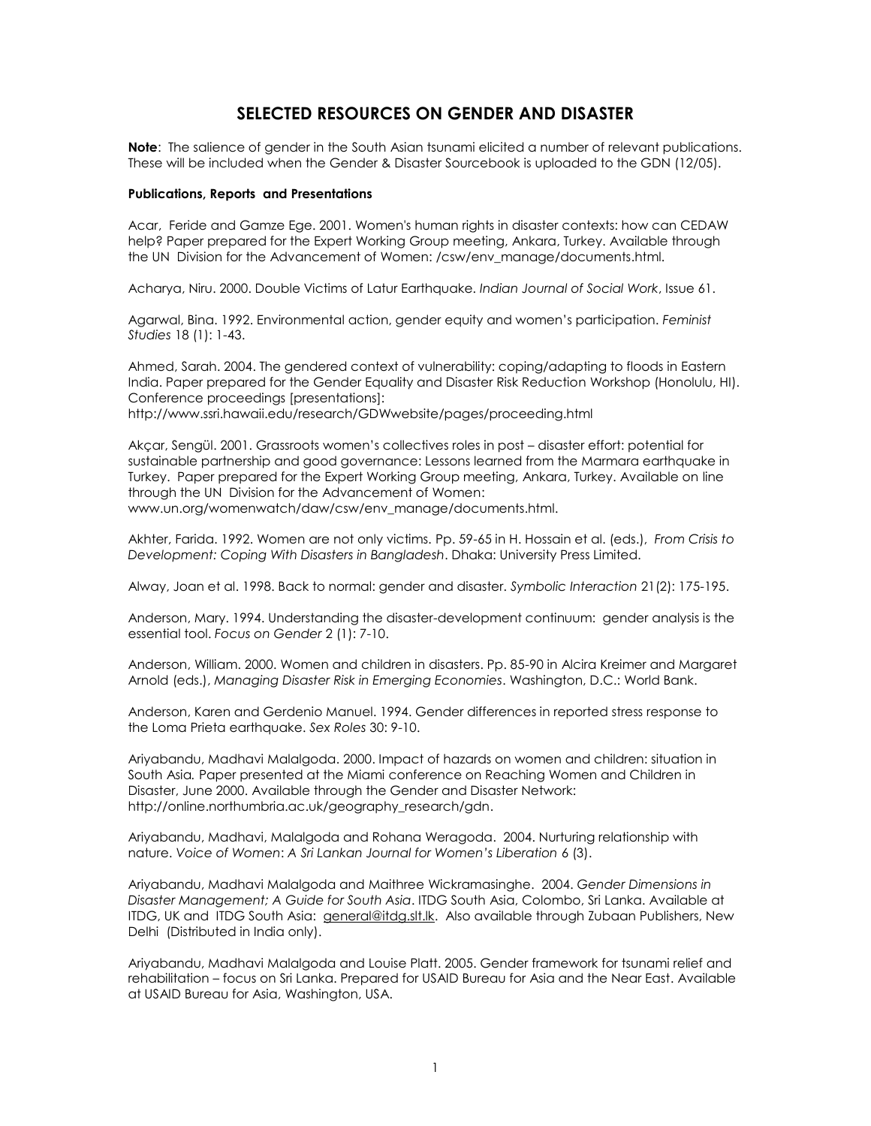# **SELECTED RESOURCES ON GENDER AND DISASTER**

**Note**: The salience of gender in the South Asian tsunami elicited a number of relevant publications. These will be included when the Gender & Disaster Sourcebook is uploaded to the GDN (12/05).

#### **Publications, Reports and Presentations**

Acar, Feride and Gamze Ege. 2001[. Women's human rights in disaster contexts: how can CEDAW](http://www.un.org/womenwatch/daw/csw/env_manage/documents/EP4-2001Oct25.pdf)  [help?](http://www.un.org/womenwatch/daw/csw/env_manage/documents/EP4-2001Oct25.pdf) Paper prepared for the Expert Working Group meeting, Ankara, Turkey. Available through the UN Division for the Advancement of Women: /csw/env\_manage/documents.html.

Acharya, Niru. 2000. Double Victims of Latur Earthquake. *Indian Journal of Social Work*, Issue 61.

Agarwal, Bina. 1992. Environmental action, gender equity and women's participation. *Feminist Studies* 18 (1): 1-43.

Ahmed, Sarah. 2004. The gendered context of vulnerability: coping/adapting to floods in Eastern India. Paper prepared for the Gender Equality and Disaster Risk Reduction Workshop (Honolulu, HI). Conference proceedings [presentations]:

http://www.ssri.hawaii.edu/research/GDWwebsite/pages/proceeding.html

Akçar, Sengül. 2001. Grassr[oots women's collectives roles in post –](http://www.un.org/womenwatch/daw/csw/env_manage/documents/EP11-2001Nov07.pdf) disaster effort: potential for [sustainable partnership and good governance: Lessons learned from the Marmara earthquake in](http://www.un.org/womenwatch/daw/csw/env_manage/documents/EP11-2001Nov07.pdf)  [Turkey.](http://www.un.org/womenwatch/daw/csw/env_manage/documents/EP11-2001Nov07.pdf) Paper prepared for the Expert Working Group meeting, Ankara, Turkey. Available on line through the UN Division for the Advancement of Women:

www.un.org/womenwatch/daw/csw/env\_manage/documents.html.

Akhter, Farida. 1992. Women are not only victims. Pp. 59-65 in H. Hossain et al. (eds.), *From Crisis to Development: Coping With Disasters in Bangladesh*. Dhaka: University Press Limited.

Alway, Joan et al. 1998. Back to normal: gender and disaster. *Symbolic Interaction* 21(2): 175-195.

Anderson, Mary. 1994. Understanding the disaster-development continuum: gender analysis is the essential tool. *Focus on Gender* 2 (1): 7-10.

Anderson, William. 2000. Women and children in disasters. Pp. 85-90 in Alcira Kreimer and Margaret Arnold (eds.), *Managing Disaster Risk in Emerging Economies*. Washington, D.C.: World Bank.

Anderson, Karen and Gerdenio Manuel. 1994. Gender differences in reported stress response to the Loma Prieta earthquake. *Sex Roles* 30: 9-10.

Ariyabandu, Madhavi Malalgoda. 2000. Impact of hazards on women and children: situation in South Asia*.* Paper presented at the Miami conference on Reaching Women and Children in Disaster, June 2000. Available through the Gender and Disaster Network: [http://online.northumbria.ac.uk/geography\\_research/gdn.](http://online.northumbria.ac.uk/geography_research/gdn)

Ariyabandu, Madhavi, Malalgoda and Rohana Weragoda. 2004. Nurturing relationship with nature. *Voice of Women*: *A Sri Lankan Journal for Women's Liberation* 6 (3).

Ariyabandu, Madhavi Malalgoda and Maithree Wickramasinghe. 2004. *Gender Dimensions in Disaster Management; A Guide for South Asia*. ITDG South Asia, Colombo, Sri Lanka. Available at ITDG, UK and ITDG South Asia: [general@itdg.slt.lk.](mailto:general@itdg.slt.lk) Also available through Zubaan Publishers, New Delhi (Distributed in India only).

Ariyabandu, Madhavi Malalgoda and Louise Platt. 2005. Gender framework for tsunami relief and rehabilitation – focus on Sri Lanka. Prepared for USAID Bureau for Asia and the Near East. Available at USAID Bureau for Asia, Washington, USA.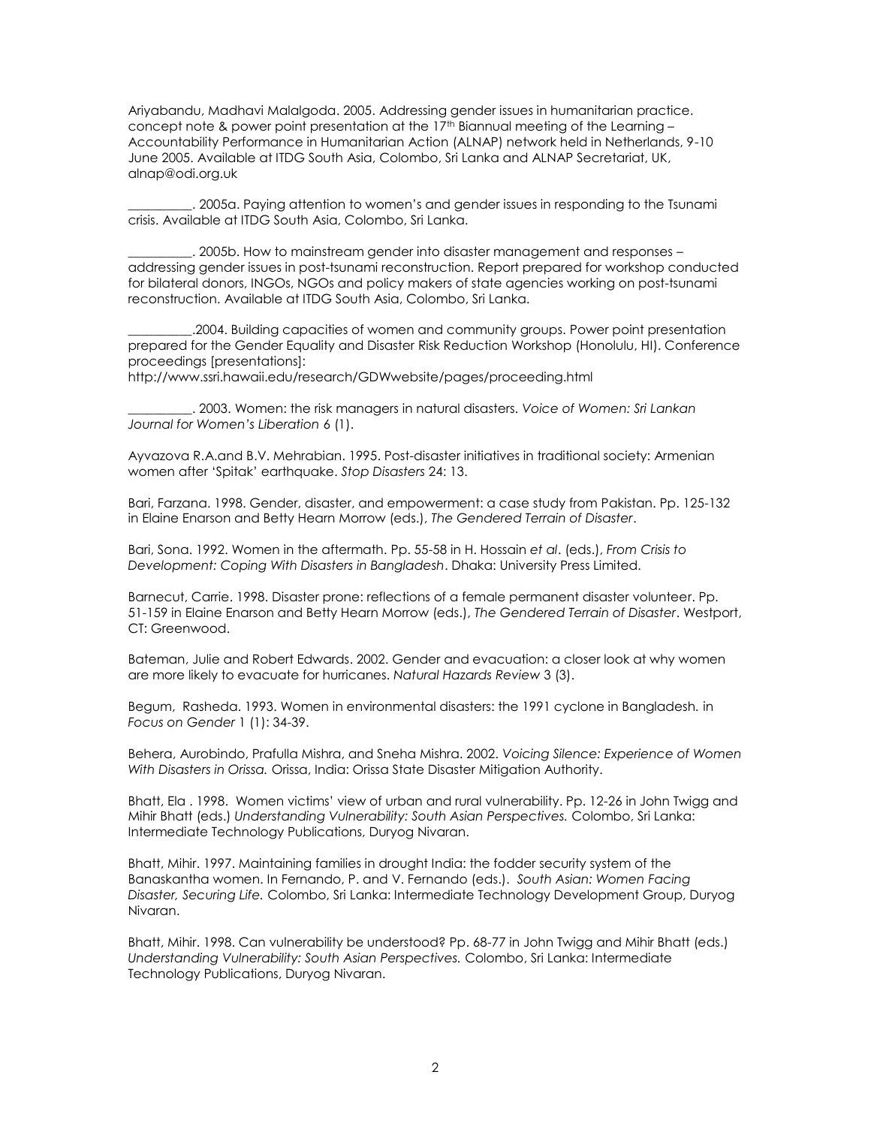Ariyabandu, Madhavi Malalgoda. 2005. Addressing gender issues in humanitarian practice. concept note & power point presentation at the 17<sup>th</sup> Biannual meeting of the Learning -Accountability Performance in Humanitarian Action (ALNAP) network held in Netherlands, 9-10 June 2005. Available at ITDG South Asia, Colombo, Sri Lanka and ALNAP Secretariat, UK, [alnap@odi.org.uk](mailto:alnap@odi.org.uk)

\_\_\_\_\_\_\_\_\_\_. 2005a. Paying attention to women's and gender issues in responding to the Tsunami crisis. Available at ITDG South Asia, Colombo, Sri Lanka.

\_\_\_\_\_\_\_\_\_\_. 2005b. How to mainstream gender into disaster management and responses – addressing gender issues in post-tsunami reconstruction. Report prepared for workshop conducted for bilateral donors, INGOs, NGOs and policy makers of state agencies working on post-tsunami reconstruction. Available at ITDG South Asia, Colombo, Sri Lanka.

\_\_\_\_\_\_\_\_\_\_.2004. Building capacities of women and community groups. Power point presentation prepared for the Gender Equality and Disaster Risk Reduction Workshop (Honolulu, HI). Conference proceedings [presentations]:

http://www.ssri.hawaii.edu/research/GDWwebsite/pages/proceeding.html

\_\_\_\_\_\_\_\_\_\_. 2003. Women: the risk managers in natural disasters. *Voice of Women: Sri Lankan Journal for Women's Liberation* 6 (1).

Ayvazova R.A.and B.V. Mehrabian. 1995. Post-disaster initiatives in traditional society: Armenian women after 'Spitak' earthquake. *Stop Disasters* 24: 13.

Bari, Farzana. 1998. Gender, disaster, and empowerment: a case study from Pakistan. Pp. 125-132 in Elaine Enarson and Betty Hearn Morrow (eds.), *The Gendered Terrain of Disaster*.

Bari, Sona. 1992. Women in the aftermath. Pp. 55-58 in H. Hossain *et al*. (eds.), *From Crisis to Development: Coping With Disasters in Bangladesh*. Dhaka: University Press Limited.

Barnecut, Carrie. 1998. Disaster prone: reflections of a female permanent disaster volunteer. Pp. 51-159 in Elaine Enarson and Betty Hearn Morrow (eds.), *The Gendered Terrain of Disaster*. Westport, CT: Greenwood.

Bateman, Julie and Robert Edwards. 2002. Gender and evacuation: a closer look at why women are more likely to evacuate for hurricanes. *Natural Hazards Review* 3 (3).

Begum, Rasheda. 1993. Women in environmental disasters: the 1991 cyclone in Bangladesh*.* in *Focus on Gender* 1 (1): 34-39.

Behera, Aurobindo, Prafulla Mishra, and Sneha Mishra. 2002. *Voicing Silence: Experience of Women With Disasters in Orissa.* Orissa, India: Orissa State Disaster Mitigation Authority.

Bhatt, Ela . 1998. Women victims' view of urban and rural vulnerability. Pp. 12-26 in John Twigg and Mihir Bhatt (eds.) *Understanding Vulnerability: South Asian Perspectives.* Colombo, Sri Lanka: Intermediate Technology Publications, Duryog Nivaran.

Bhatt, Mihir. 1997. Maintaining families in drought India: the fodder security system of the Banaskantha women. In Fernando, P. and V. Fernando (eds.). *South Asian: Women Facing Disaster, Securing Life.* Colombo, Sri Lanka: Intermediate Technology Development Group, Duryog Nivaran.

Bhatt, Mihir. 1998. Can vulnerability be understood? Pp. 68-77 in John Twigg and Mihir Bhatt (eds.) *Understanding Vulnerability: South Asian Perspectives.* Colombo, Sri Lanka: Intermediate Technology Publications, Duryog Nivaran.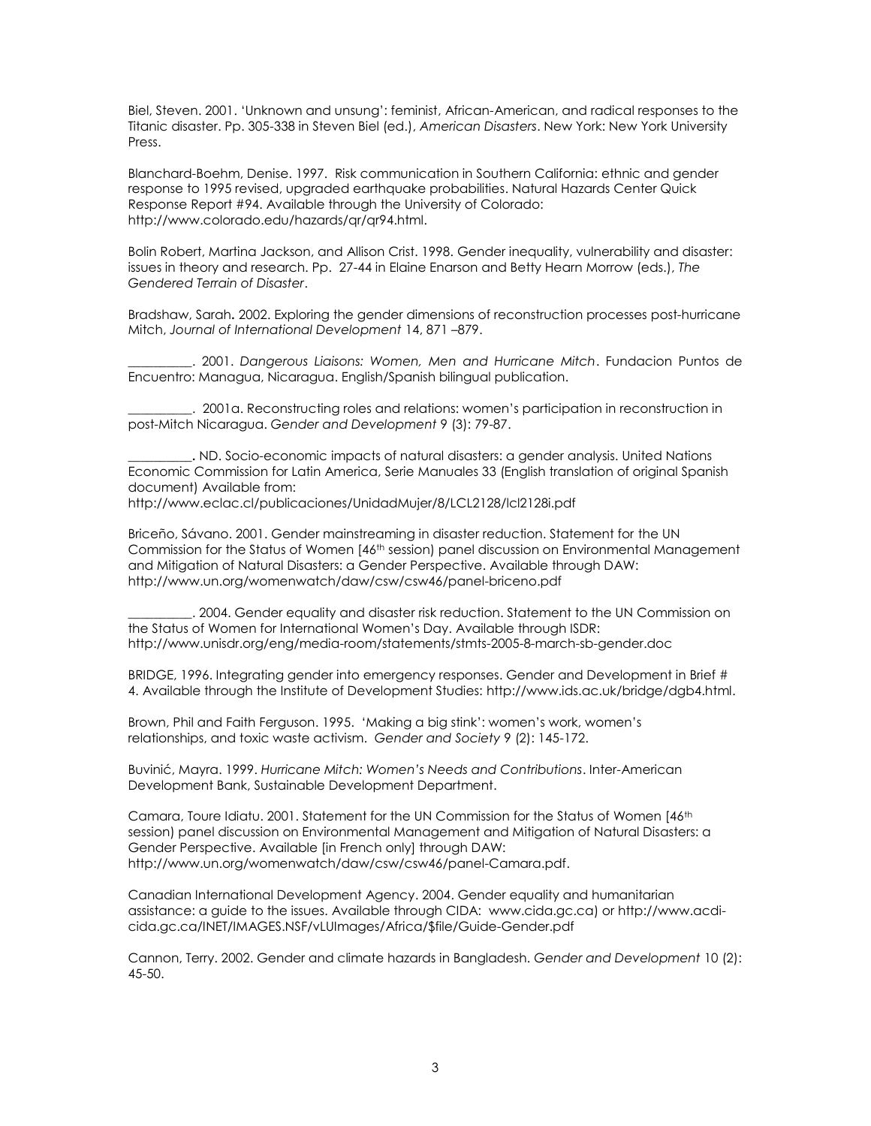Biel, Steven. 2001. 'Unknown and unsung': feminist, African-American, and radical responses to the Titanic disaster. Pp. 305-338 in Steven Biel (ed.), *American Disasters*. New York: New York University Press.

Blanchard-Boehm, Denise. 1997. Risk communication in Southern California: ethnic and gender response to 1995 revised, upgraded earthquake probabilities. Natural Hazards Center Quick Response Report #94. Available through the University of Colorado: http://www.colorado.edu/hazards/qr/qr94.html.

Bolin Robert, Martina Jackson, and Allison Crist. 1998. Gender inequality, vulnerability and disaster: issues in theory and research. Pp. 27-44 in Elaine Enarson and Betty Hearn Morrow (eds.), *The Gendered Terrain of Disaster*.

Bradshaw, Sarah**.** 2002. Exploring the gender dimensions of reconstruction processes post-hurricane Mitch, *Journal of International Development* 14, 871 –879.

\_\_\_\_\_\_\_\_\_\_. 2001. *Dangerous Liaisons: Women, Men and Hurricane Mitch*. Fundacion Puntos de Encuentro: Managua, Nicaragua. English/Spanish bilingual publication.

\_\_\_\_\_\_\_\_\_\_. 2001a. Reconstructing roles and relations: women's participation in reconstruction in post-Mitch Nicaragua. *Gender and Development* 9 (3): 79-87.

**\_\_\_\_\_\_\_\_\_\_.** ND. Socio-economic impacts of natural disasters: a gender analysis. United Nations Economic Commission for Latin America, Serie Manuales 33 (English translation of original Spanish document) Available from:

http://www.eclac.cl/publicaciones/UnidadMujer/8/LCL2128/lcl2128i.pdf

Briceño, Sávano. 2001. Gender mainstreaming in disaster reduction. Statement for the UN Commission for the Status of Women [46<sup>th</sup> session) panel discussion on Environmental Management and Mitigation of Natural Disasters: a Gender Perspective. Available through DAW: <http://www.un.org/womenwatch/daw/csw/csw46/panel-briceno.pdf>

\_\_\_\_\_\_\_\_\_\_. 2004. Gender equality and disaster risk reduction. Statement to the UN Commission on the Status of Women for International Women's Day. Available through ISDR: http://www.unisdr.org/eng/media-room/statements/stmts-2005-8-march-sb-gender.doc

BRIDGE, 1996. Integrating gender into emergency responses. Gender and Development in Brief # 4. Available through the Institute of Development Studies: [http://www.ids.ac.uk/bridge/dgb4.html.](http://www.ids.ac.uk/bridge/dgb4.html)

Brown, Phil and Faith Ferguson. 1995. 'Making a big stink': women's work, women's relationships, and toxic waste activism. *Gender and Society* 9 (2): 145-172.

Buvinić, Mayra. 1999. *Hurricane Mitch: Women's Needs and Contributions*. Inter-American Development Bank, Sustainable Development Department.

Camara, Toure Idiatu. 2001. Statement for the UN Commission for the Status of Women [46<sup>th</sup> session) panel discussion on Environmental Management and Mitigation of Natural Disasters: a Gender Perspective. Available [in French only] through DAW: http://www.un.org/womenwatch/daw/csw/csw46/panel-Camara.pdf.

Canadian International Development Agency. 2004. Gender equality and humanitarian assistance: a guide to the issues. Available through CIDA: [www.cida.gc.ca\)](http://www.cida.gc.ca/) o[r http://www.acdi](http://www.acdi-cida.gc.ca/INET/IMAGES.NSF/vLUImages/Africa/$file/Guide-Gender.pdf)[cida.gc.ca/INET/IMAGES.NSF/vLUImages/Africa/\\$file/Guide-Gender.pdf](http://www.acdi-cida.gc.ca/INET/IMAGES.NSF/vLUImages/Africa/$file/Guide-Gender.pdf)

Cannon, Terry. 2002. Gender and climate hazards in Bangladesh. *Gender and Development* 10 (2): 45-50.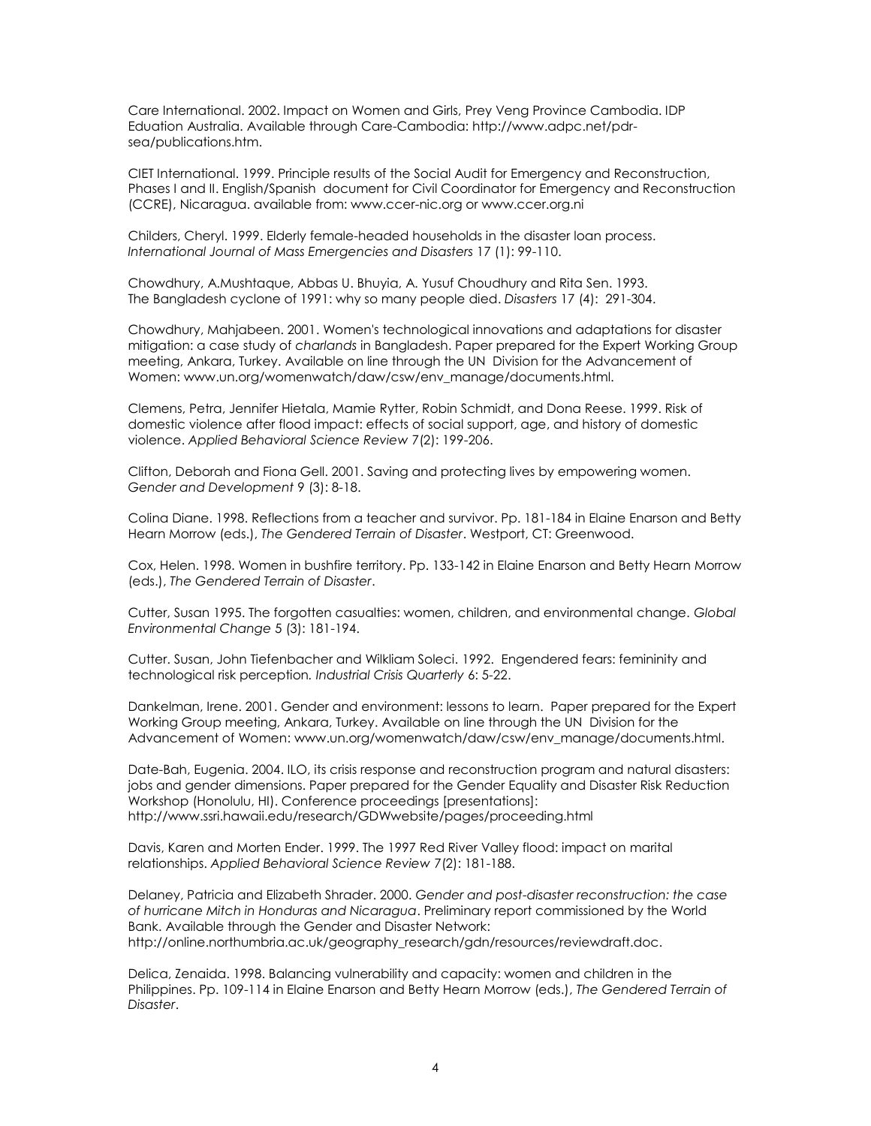Care International. 2002. Impact on Women and Girls, Prey Veng Province Cambodia. IDP Eduation Australia. Available through Care-Cambodia: [http://www.adpc.net/pdr](http://www.adpc.net/pdr-sea/publications.htm)[sea/publications.htm.](http://www.adpc.net/pdr-sea/publications.htm)

CIET International. 1999. Principle results of the Social Audit for Emergency and Reconstruction, Phases I and II. English/Spanish document for Civil Coordinator for Emergency and Reconstruction (CCRE), Nicaragua. available from: www.ccer-nic.org or www.ccer.org.ni

Childers, Cheryl. 1999. Elderly female-headed households in the disaster loan process. *International Journal of Mass Emergencies and Disasters* 17 (1): 99-110.

Chowdhury, A.Mushtaque, Abbas U. Bhuyia, A. Yusuf Choudhury and Rita Sen. 1993. The Bangladesh cyclone of 1991: why so many people died. *Disasters* 17 (4): 291-304.

Chowdhury, Mahjabeen. 2001. [Women's technological innovations and adaptations for disaster](http://www.un.org/womenwatch/daw/csw/env_manage/documents/EP6-2001Nov01.pdf)  [mitigation: a case study of](http://www.un.org/womenwatch/daw/csw/env_manage/documents/EP6-2001Nov01.pdf) *charlands* in Bangladesh. Paper prepared for the Expert Working Group meeting, Ankara, Turkey. Available on line through the UN Division for the Advancement of Women: www.un.org/womenwatch/daw/csw/env\_manage/documents.html.

Clemens, Petra, Jennifer Hietala, Mamie Rytter, Robin Schmidt, and Dona Reese. 1999. Risk of domestic violence after flood impact: effects of social support, age, and history of domestic violence. *Applied Behavioral Science Review* 7(2): 199-206.

Clifton, Deborah and Fiona Gell. 2001. Saving and protecting lives by empowering women. *Gender and Development* 9 (3): 8-18.

Colina Diane. 1998. Reflections from a teacher and survivor. Pp. 181-184 in Elaine Enarson and Betty Hearn Morrow (eds.), *The Gendered Terrain of Disaster*. Westport, CT: Greenwood.

Cox, Helen. 1998. Women in bushfire territory. Pp. 133-142 in Elaine Enarson and Betty Hearn Morrow (eds.), *The Gendered Terrain of Disaster*.

Cutter, Susan 1995. The forgotten casualties: women, children, and environmental change. *Global Environmental Change* 5 (3): 181-194.

Cutter. Susan, John Tiefenbacher and Wilkliam Soleci. 1992. Engendered fears: femininity and technological risk perception*. Industrial Crisis Quarterly* 6: 5-22.

Dankelman, Irene. 2001[. Gender and environment: lessons to learn.](http://www.un.org/womenwatch/daw/csw/env_manage/documents/OP2-2001Oct.pdf) Paper prepared for the Expert Working Group meeting, Ankara, Turkey. Available on line through the UN Division for the Advancement of Women: www.un.org/womenwatch/daw/csw/env\_manage/documents.html.

Date-Bah, Eugenia. 2004. ILO, its crisis response and reconstruction program and natural disasters: jobs and gender dimensions. Paper prepared for the Gender Equality and Disaster Risk Reduction Workshop (Honolulu, HI). Conference proceedings [presentations]: http://www.ssri.hawaii.edu/research/GDWwebsite/pages/proceeding.html

Davis, Karen and Morten Ender. 1999. The 1997 Red River Valley flood: impact on marital relationships. *Applied Behavioral Science Review* 7(2): 181-188.

Delaney, Patricia and Elizabeth Shrader. 2000. *Gender and post-disaster reconstruction: the case of hurricane Mitch in Honduras and Nicaragua*. Preliminary report commissioned by the World Bank. Available through the Gender and Disaster Network: http://online.northumbria.ac.uk/geography\_research/gdn/resources/reviewdraft.doc.

Delica, Zenaida. 1998. Balancing vulnerability and capacity: women and children in the Philippines. Pp. 109-114 in Elaine Enarson and Betty Hearn Morrow (eds.), *The Gendered Terrain of Disaster*.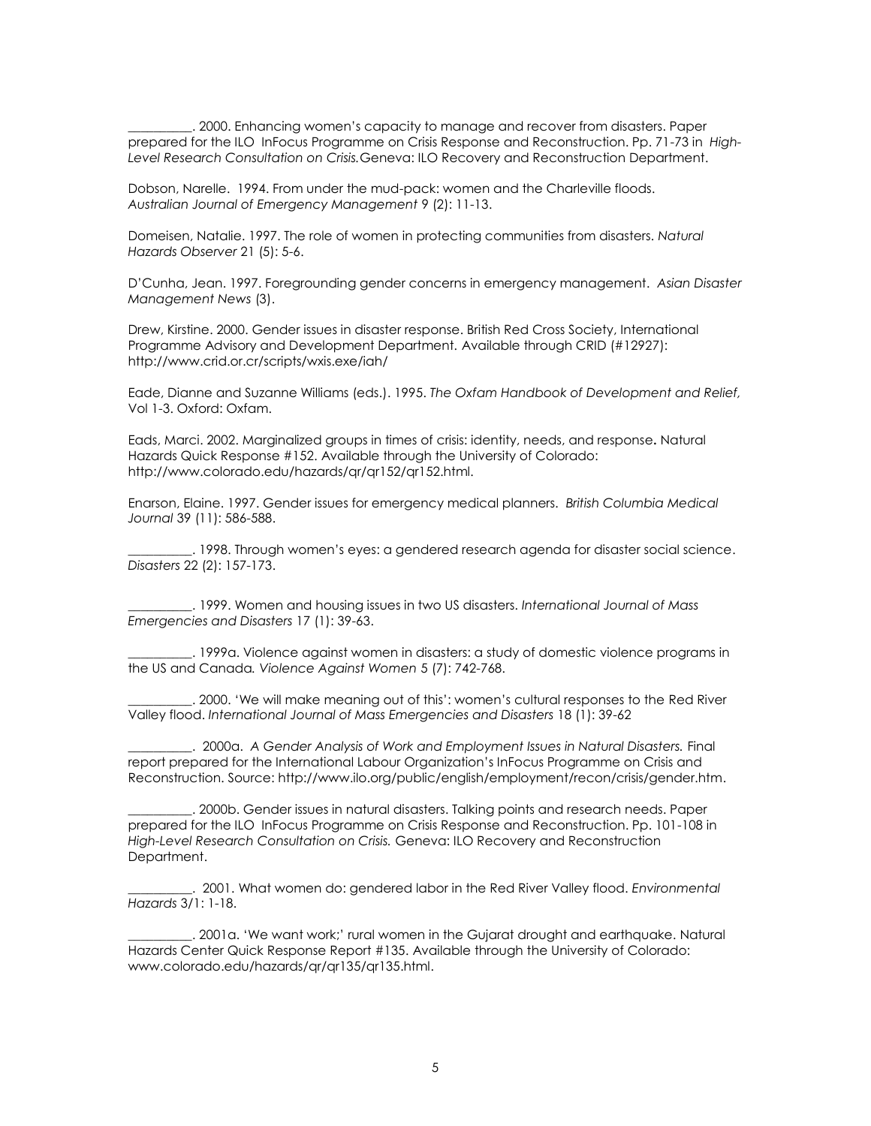\_\_\_\_\_\_\_\_\_\_. 2000. Enhancing women's capacity to manage and recover from disasters. Paper prepared for the ILO InFocus Programme on Crisis Response and Reconstruction. Pp. 71-73 in *High-Level Research Consultation on Crisis.*Geneva: ILO Recovery and Reconstruction Department.

Dobson, Narelle. 1994. From under the mud-pack: women and the Charleville floods. *Australian Journal of Emergency Management* 9 (2): 11-13.

Domeisen, Natalie. 1997. The role of women in protecting communities from disasters. *Natural Hazards Observer* 21 (5): 5-6.

D'Cunha, Jean. 1997. Foregrounding gender concerns in emergency management. *Asian Disaster Management News* (3).

Drew, Kirstine. 2000. Gender issues in disaster response. British Red Cross Society, International Programme Advisory and Development Department. Available through CRID (#12927): http://www.crid.or.cr/scripts/wxis.exe/iah/

Eade, Dianne and Suzanne Williams (eds.). 1995. *The Oxfam Handbook of Development and Relief,* Vol 1-3. Oxford: Oxfam.

Eads, Marci. 2002. Marginalized groups in times of crisis: identity, needs, and response**.** Natural Hazards Quick Response #152. Available through the University of Colorado: http://www.colorado.edu/hazards/qr/qr152/qr152.html.

Enarson, Elaine. 1997. Gender issues for emergency medical planners. *British Columbia Medical Journal* 39 (11): 586-588.

\_\_\_\_\_\_\_\_\_\_. 1998. Through women's eyes: a gendered research agenda for disaster social science. *Disasters* 22 (2): 157-173.

\_\_\_\_\_\_\_\_\_\_. 1999. Women and housing issues in two US disasters. *International Journal of Mass Emergencies and Disasters* 17 (1): 39-63.

\_\_\_\_\_\_\_\_\_\_. 1999a. Violence against women in disasters: a study of domestic violence programs in the US and Canada*. Violence Against Women* 5 (7): 742-768.

\_\_\_\_\_\_\_\_\_\_. 2000. 'We will make meaning out of this': women's cultural responses to the Red River Valley flood. *International Journal of Mass Emergencies and Disasters* 18 (1): 39-62

\_\_\_\_\_\_\_\_\_\_. 2000a. *A Gender Analysis of Work and Employment Issues in Natural Disasters.* Final report prepared for the International Labour Organization's InFocus Programme on Crisis and Reconstruction. Source[: http://www.ilo.org/public/english/employment/recon/crisis/gender.htm.](http://www.ilo.org/public/english/employment/recon/crisis/gender.htm)

\_\_\_\_\_\_\_\_\_\_. 2000b. Gender issues in natural disasters. Talking points and research needs. Paper prepared for the ILO InFocus Programme on Crisis Response and Reconstruction. Pp. 101-108 in *High-Level Research Consultation on Crisis.* Geneva: ILO Recovery and Reconstruction Department.

\_\_\_\_\_\_\_\_\_\_. 2001. What women do: gendered labor in the Red River Valley flood. *Environmental Hazards* 3/1: 1-18.

\_\_\_\_\_\_\_\_\_\_. 2001a. 'We want work;' rural women in the Gujarat drought and earthquake. Natural Hazards Center Quick Response Report #135. Available through the University of Colorado: [www.colorado.edu/hazards/qr/qr135/qr135.html.](http://www.colorado.edu/hazards/qr/qr135/qr135.html)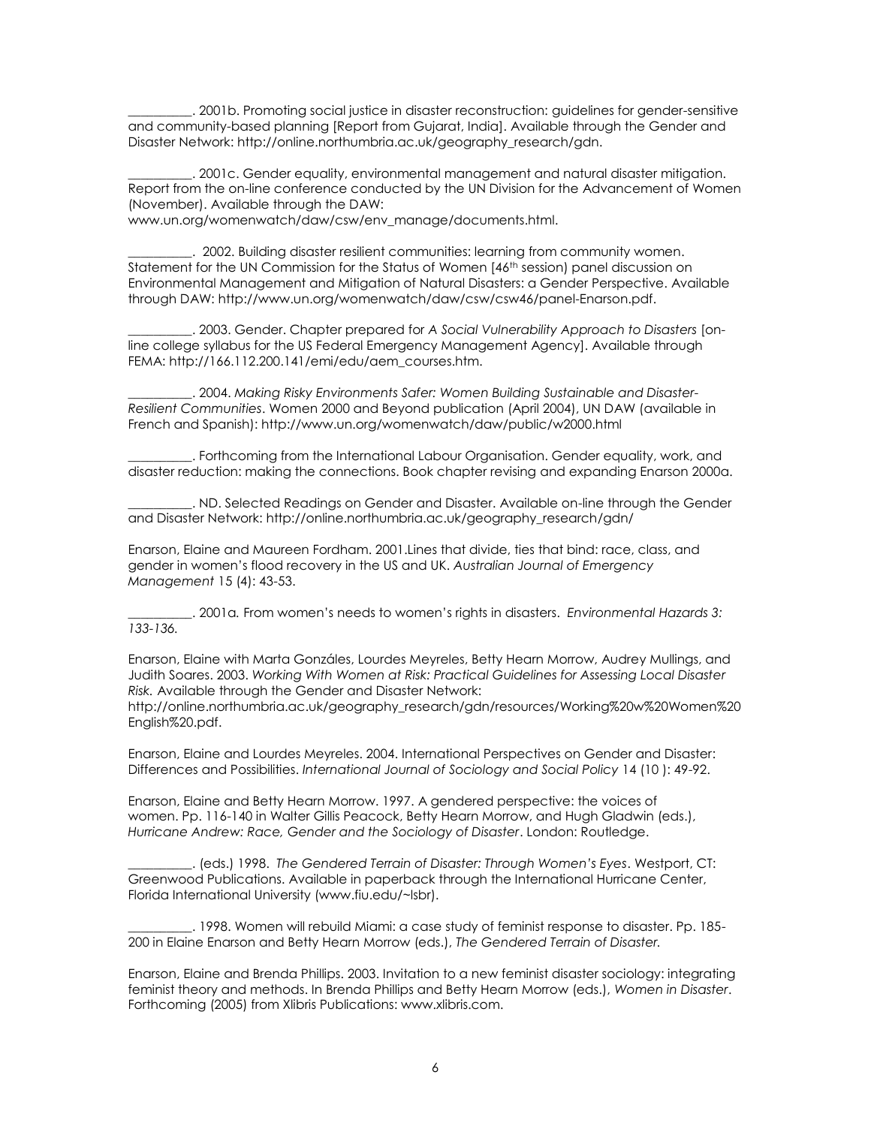\_\_\_\_\_\_\_\_\_\_. 2001b. Promoting social justice in disaster reconstruction: guidelines for gender-sensitive and community-based planning [Report from Gujarat, India]. Available through the Gender and Disaster Network: http://online.northumbria.ac.uk/geography\_research/gdn.

\_\_\_\_\_\_\_\_\_\_. 2001c. Gender equality, environmental management and natural disaster mitigation. Report from the on-line conference conducted by the UN Division for the Advancement of Women (November). Available through the DAW:

www.un.org/womenwatch/daw/csw/env\_manage/documents.html.

\_\_\_\_\_\_\_\_\_\_. 2002. Building disaster resilient communities: learning from community women. Statement for the UN Commission for the Status of Women [46<sup>th</sup> session] panel discussion on Environmental Management and Mitigation of Natural Disasters: a Gender Perspective. Available through DAW: http://www.un.org/womenwatch/daw/csw/csw46/panel-Enarson.pdf.

\_\_\_\_\_\_\_\_\_\_. 2003. Gender. Chapter prepared for *A Social Vulnerability Approach to Disasters* [online college syllabus for the US Federal Emergency Management Agency]. Available through FEMA: http://166.112.200.141/emi/edu/aem\_courses.htm.

\_\_\_\_\_\_\_\_\_\_. 2004. *Making Risky Environments Safer: Women Building Sustainable and Disaster-Resilient Communities*. Women 2000 and Beyond publication (April 2004), UN DAW (available in French and Spanish):<http://www.un.org/womenwatch/daw/public/w2000.html>

\_\_\_\_\_\_\_\_\_\_. Forthcoming from the International Labour Organisation. Gender equality, work, and disaster reduction: making the connections. Book chapter revising and expanding Enarson 2000a.

\_\_\_\_\_\_\_\_\_\_. ND. Selected Readings on Gender and Disaster. Available on-line through the Gender and Disaster Network: [http://online.northumbria.ac.uk/geography\\_research/gdn/](http://online.northumbria.ac.uk/geography_research/gdn/)

Enarson, Elaine and Maureen Fordham. 2001.Lines that divide, ties that bind: race, class, and gender in women's flood recovery in the US and UK. *Australian Journal of Emergency Management* 15 (4): 43-53.

\_\_\_\_\_\_\_\_\_\_. 2001a*.* From women's needs to women's rights in disasters. *Environmental Hazards 3: 133-136.* 

Enarson, Elaine with Marta Gonzáles, Lourdes Meyreles, Betty Hearn Morrow, Audrey Mullings, and Judith Soares. 2003. *Working With Women at Risk: Practical Guidelines for Assessing Local Disaster Risk.* Available through the Gender and Disaster Network:

http://online.northumbria.ac.uk/geography\_research/gdn/resources/Working%20w%20Women%20 English%20.pdf.

Enarson, Elaine and Lourdes Meyreles. 2004. International Perspectives on Gender and Disaster: Differences and Possibilities. *International Journal of Sociology and Social Policy* 14 (10 ): 49-92.

Enarson, Elaine and Betty Hearn Morrow. 1997. A gendered perspective: the voices of women. Pp. 116-140 in Walter Gillis Peacock, Betty Hearn Morrow, and Hugh Gladwin (eds.), *Hurricane Andrew: Race, Gender and the Sociology of Disaster*. London: Routledge.

\_\_\_\_\_\_\_\_\_\_. (eds.) 1998. *The Gendered Terrain of Disaster: Through Women's Eyes*. Westport, CT: Greenwood Publications. Available in paperback through the International Hurricane Center, Florida International University (www.fiu.edu/~lsbr).

\_\_\_\_\_\_\_\_\_\_. 1998. Women will rebuild Miami: a case study of feminist response to disaster. Pp. 185- 200 in Elaine Enarson and Betty Hearn Morrow (eds.), *The Gendered Terrain of Disaster.* 

Enarson, Elaine and Brenda Phillips. 2003. Invitation to a new feminist disaster sociology: integrating feminist theory and methods. In Brenda Phillips and Betty Hearn Morrow (eds.), *Women in Disaster*. Forthcoming (2005) from Xlibris Publications: www.xlibris.com.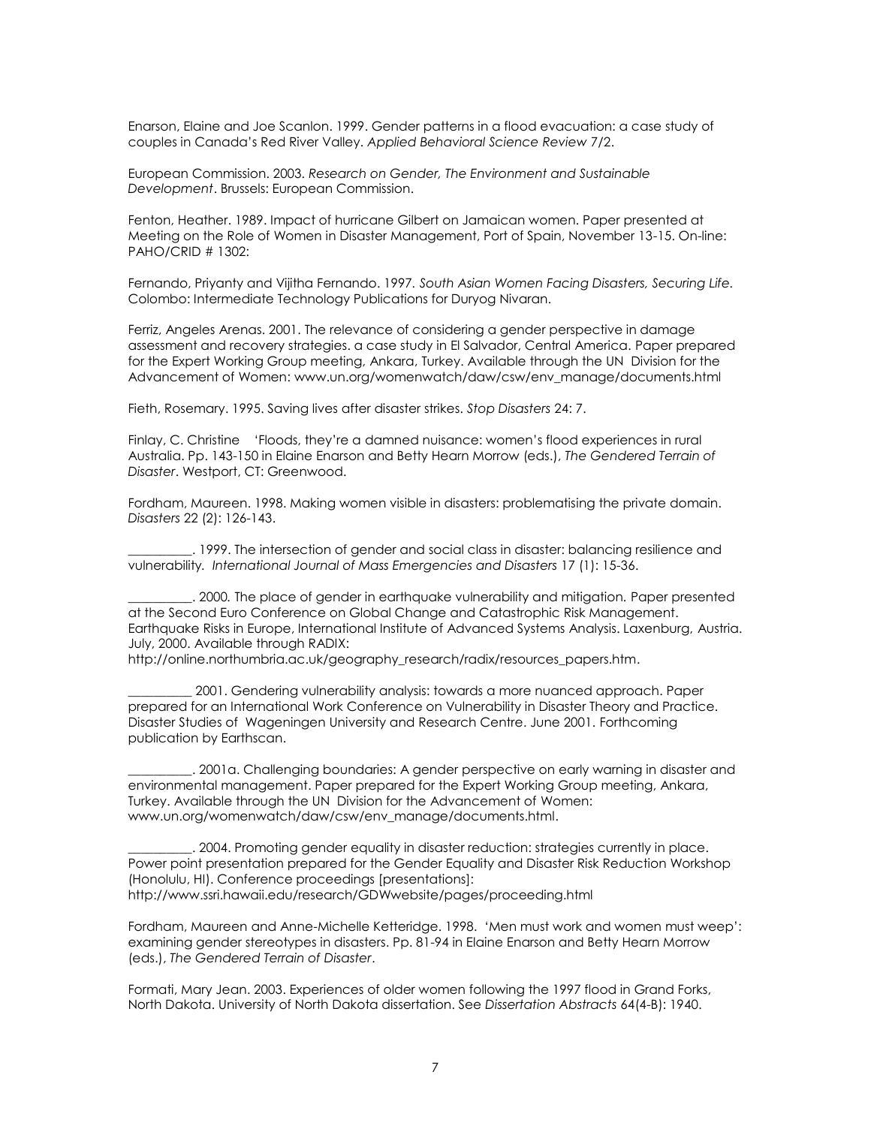Enarson, Elaine and Joe Scanlon. 1999. Gender patterns in a flood evacuation: a case study of couples in Canada's Red River Valley. *Applied Behavioral Science Review* 7/2.

European Commission. 2003. *Research on Gender, The Environment and Sustainable Development*. Brussels: European Commission.

Fenton, Heather. 1989. Impact of hurricane Gilbert on Jamaican women. Paper presented at Meeting on the Role of Women in Disaster Management, Port of Spain, November 13-15. On-line: PAHO/CRID # 1302:

Fernando, Priyanty and Vijitha Fernando. 1997*. South Asian Women Facing Disasters, Securing Life.*  Colombo: Intermediate Technology Publications for Duryog Nivaran.

Ferriz, Angeles Arenas. 2001. [The relevance of considering a gender perspective in damage](http://www.un.org/womenwatch/daw/csw/env_manage/documents/EP9-2001Nov26.pdf)  [assessment and recovery strategies. a case study in El Salvador, Central America.](http://www.un.org/womenwatch/daw/csw/env_manage/documents/EP9-2001Nov26.pdf) Paper prepared for the Expert Working Group meeting, Ankara, Turkey. Available through the UN Division for the Advancement of Women: www.un.org/womenwatch/daw/csw/env\_manage/documents.html

Fieth, Rosemary. 1995. Saving lives after disaster strikes. *Stop Disasters* 24: 7.

Finlay, C. Christine 'Floods, they're a damned nuisance: women's flood experiences in rural Australia. Pp. 143-150 in Elaine Enarson and Betty Hearn Morrow (eds.), *The Gendered Terrain of Disaster*. Westport, CT: Greenwood.

Fordham, Maureen. 1998. Making women visible in disasters: problematising the private domain. *Disasters* 22 (2): 126-143.

\_\_\_\_\_\_\_\_\_\_. 1999. The intersection of gender and social class in disaster: balancing resilience and vulnerability*. International Journal of Mass Emergencies and Disasters* 17 (1): 15-36.

\_\_\_\_\_\_\_\_\_\_. 2000*.* The place of gender in earthquake vulnerability and mitigation*.* Paper presented at the Second Euro Conference on Global Change and Catastrophic Risk Management. Earthquake Risks in Europe, International Institute of Advanced Systems Analysis. Laxenburg, Austria. July, 2000. Available through RADIX:

http://online.northumbria.ac.uk/geography\_research/radix/resources\_papers.htm.

\_\_\_\_\_\_\_\_\_\_ 2001. Gendering vulnerability analysis: towards a more nuanced approach. Paper prepared for an International Work Conference on Vulnerability in Disaster Theory and Practice. Disaster Studies of Wageningen University and Research Centre. June 2001. Forthcoming publication by Earthscan.

\_\_\_\_\_\_\_\_\_\_. 2001a. [Challenging boundaries: A gender perspective on early warning in disaster and](http://www.un.org/womenwatch/daw/csw/env_manage/documents/EP5-2001Oct26.pdf)  [environmental management.](http://www.un.org/womenwatch/daw/csw/env_manage/documents/EP5-2001Oct26.pdf) Paper prepared for the Expert Working Group meeting, Ankara, Turkey. Available through the UN Division for the Advancement of Women: [www.un.org/womenwatch/daw/csw/env\\_manage/documents.html.](http://www.un.org/womenwatch/daw/csw/env_manage/documents.html)

\_\_\_\_\_\_\_\_\_\_. 2004. Promoting gender equality in disaster reduction: strategies currently in place. Power point presentation prepared for the Gender Equality and Disaster Risk Reduction Workshop (Honolulu, HI). Conference proceedings [presentations]: http://www.ssri.hawaii.edu/research/GDWwebsite/pages/proceeding.html

Fordham, Maureen and Anne-Michelle Ketteridge. 1998. 'Men must work and women must weep': examining gender stereotypes in disasters. Pp. 81-94 in Elaine Enarson and Betty Hearn Morrow (eds.), *The Gendered Terrain of Disaster*.

Formati, Mary Jean. 2003. Experiences of older women following the 1997 flood in Grand Forks, North Dakota. University of North Dakota dissertation. See *Dissertation Abstracts* 64(4-B): 1940.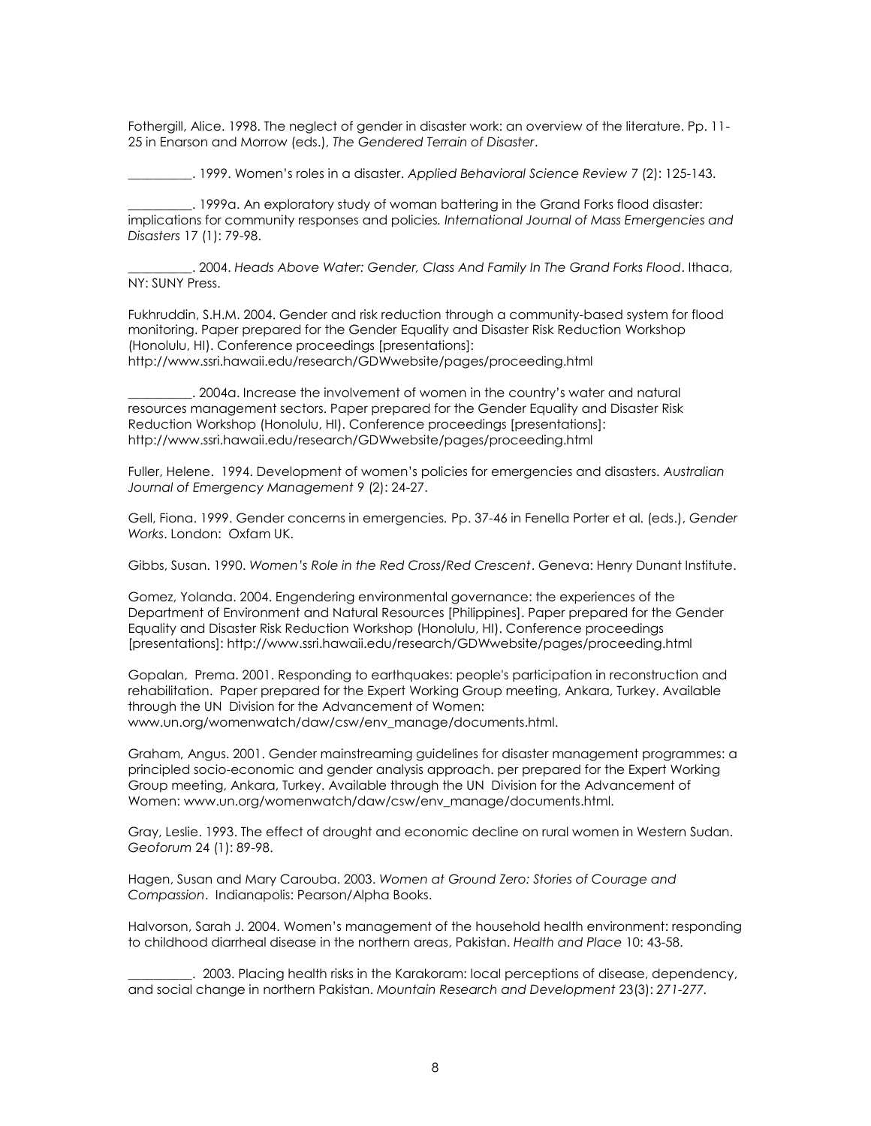Fothergill, Alice. 1998. The neglect of gender in disaster work: an overview of the literature. Pp. 11- 25 in Enarson and Morrow (eds.), *The Gendered Terrain of Disaster*.

\_\_\_\_\_\_\_\_\_\_. 1999. Women's roles in a disaster. *Applied Behavioral Science Review* 7 (2): 125-143.

\_\_\_\_\_\_\_\_\_\_. 1999a. An exploratory study of woman battering in the Grand Forks flood disaster: implications for community responses and policies*. International Journal of Mass Emergencies and Disasters* 17 (1): 79-98.

\_\_\_\_\_\_\_\_\_\_. 2004. *Heads Above Water: Gender, Class And Family In The Grand Forks Flood*. Ithaca, NY: SUNY Press.

Fukhruddin, S.H.M. 2004. Gender and risk reduction through a community-based system for flood monitoring. Paper prepared for the Gender Equality and Disaster Risk Reduction Workshop (Honolulu, HI). Conference proceedings [presentations]: <http://www.ssri.hawaii.edu/research/GDWwebsite/pages/proceeding.html>

\_\_\_\_\_\_\_\_\_\_. 2004a. Increase the involvement of women in the country's water and natural resources management sectors. Paper prepared for the Gender Equality and Disaster Risk Reduction Workshop (Honolulu, HI). Conference proceedings [presentations]: http://www.ssri.hawaii.edu/research/GDWwebsite/pages/proceeding.html

Fuller, Helene. 1994. Development of women's policies for emergencies and disasters. *Australian Journal of Emergency Management* 9 (2): 24-27.

Gell, Fiona. 1999. Gender concerns in emergencies*.* Pp. 37-46 in Fenella Porter et al. (eds.), *Gender Works*. London: Oxfam UK.

Gibbs, Susan. 1990. *Women's Role in the Red Cross/Red Crescent*. Geneva: Henry Dunant Institute.

Gomez, Yolanda. 2004. Engendering environmental governance: the experiences of the Department of Environment and Natural Resources [Philippines]. Paper prepared for the Gender Equality and Disaster Risk Reduction Workshop (Honolulu, HI). Conference proceedings [presentations]: http://www.ssri.hawaii.edu/research/GDWwebsite/pages/proceeding.html

Gopalan, Prema. 2001. [Responding to earthquakes: people's participation in reconstruction and](http://www.un.org/womenwatch/daw/csw/env_manage/documents/OP3-2001Oct.pdf)  [rehabilitation.](http://www.un.org/womenwatch/daw/csw/env_manage/documents/OP3-2001Oct.pdf) Paper prepared for the Expert Working Group meeting, Ankara, Turkey. Available through the UN Division for the Advancement of Women: www.un.org/womenwatch/daw/csw/env\_manage/documents.html.

Graham, Angus. 2001. [Gender mainstreaming guidelines for disaster management programmes: a](http://www.un.org/womenwatch/daw/csw/env_manage/documents/EP1-2001Oct22.pdf)  [principled socio-economic and gender analysis approach.](http://www.un.org/womenwatch/daw/csw/env_manage/documents/EP1-2001Oct22.pdf) per prepared for the Expert Working Group meeting, Ankara, Turkey. Available through the UN Division for the Advancement of Women: www.un.org/womenwatch/daw/csw/env\_manage/documents.html.

Gray, Leslie. 1993. The effect of drought and economic decline on rural women in Western Sudan. *Geoforum* 24 (1): 89-98.

Hagen, Susan and Mary Carouba. 2003. *Women at Ground Zero: Stories of Courage and Compassion*. Indianapolis: Pearson/Alpha Books.

Halvorson, Sarah J. 2004. Women's management of the household health environment: responding to childhood diarrheal disease in the northern areas, Pakistan. *Health and Place* 10: 43-58.

\_\_\_\_\_\_\_\_\_\_. 2003. Placing health risks in the Karakoram: local perceptions of disease, dependency, and social change in northern Pakistan. *Mountain Research and Development* 23(3): *271-277.*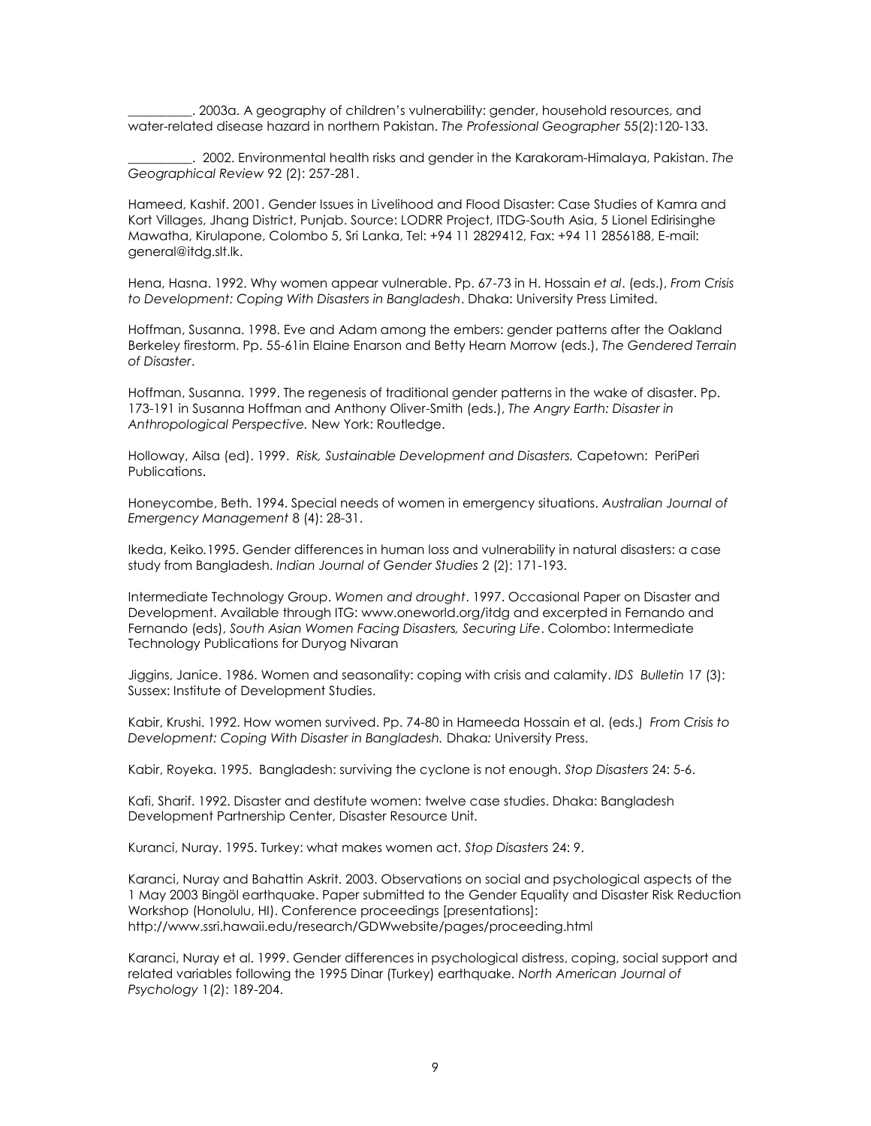\_\_\_\_\_\_\_\_\_\_. 2003a. A geography of children's vulnerability: gender, household resources, and water-related disease hazard in northern Pakistan. *The Professional Geographer* 55(2):120-133.

\_\_\_\_\_\_\_\_\_\_. 2002. Environmental health risks and gender in the Karakoram-Himalaya, Pakistan. *The Geographical Review* 92 (2): 257-281.

Hameed, Kashif. 2001. Gender Issues in Livelihood and Flood Disaster: Case Studies of Kamra and Kort Villages, Jhang District, Punjab. Source: LODRR Project, ITDG-South Asia, 5 Lionel Edirisinghe Mawatha, Kirulapone, Colombo 5, Sri Lanka, Tel: +94 11 2829412, Fax: +94 11 2856188, E-mail: [general@itdg.slt.lk.](mailto:general@itdg.slt.lk)

Hena, Hasna. 1992. Why women appear vulnerable. Pp. 67-73 in H. Hossain *et al*. (eds.), *From Crisis to Development: Coping With Disasters in Bangladesh*. Dhaka: University Press Limited.

Hoffman, Susanna. 1998. Eve and Adam among the embers: gender patterns after the Oakland Berkeley firestorm. Pp. 55-61in Elaine Enarson and Betty Hearn Morrow (eds.), *The Gendered Terrain of Disaster*.

Hoffman, Susanna. 1999. The regenesis of traditional gender patterns in the wake of disaster. Pp. 173-191 in Susanna Hoffman and Anthony Oliver-Smith (eds.), *The Angry Earth: Disaster in Anthropological Perspective.* New York: Routledge.

Holloway, Ailsa (ed). 1999. *Risk, Sustainable Development and Disasters.* Capetown: PeriPeri Publications.

Honeycombe, Beth. 1994. Special needs of women in emergency situations. *Australian Journal of Emergency Management* 8 (4): 28-31.

Ikeda, Keiko*.*1995. Gender differences in human loss and vulnerability in natural disasters: a case study from Bangladesh. *Indian Journal of Gender Studies* 2 (2): 171-193.

Intermediate Technology Group. *Women and drought*. 1997. Occasional Paper on Disaster and Development. Available through ITG: [www.oneworld.org/itdg](http://www.oneworld.org/itdg) and excerpted in Fernando and Fernando (eds), *South Asian Women Facing Disasters, Securing Life*. Colombo: Intermediate Technology Publications for Duryog Nivaran

Jiggins, Janice. 1986. Women and seasonality: coping with crisis and calamity. *IDS Bulletin* 17 (3): Sussex: Institute of Development Studies.

Kabir, Krushi. 1992. How women survived. Pp. 74-80 in Hameeda Hossain et al. (eds.) *From Crisis to Development: Coping With Disaster in Bangladesh.* Dhaka*:* University Press.

Kabir, Royeka. 1995. Bangladesh: surviving the cyclone is not enough. *Stop Disasters* 24: 5-6.

Kafi, Sharif. 1992. Disaster and destitute women: twelve case studies. Dhaka: Bangladesh Development Partnership Center, Disaster Resource Unit.

Kuranci, Nuray. 1995. Turkey: what makes women act. *Stop Disasters* 24: 9.

Karanci, Nuray and Bahattin Askrit. 2003. Observations on social and psychological aspects of the 1 May 2003 Bingöl earthquake. Paper submitted to the Gender Equality and Disaster Risk Reduction Workshop (Honolulu, HI). Conference proceedings [presentations]: http://www.ssri.hawaii.edu/research/GDWwebsite/pages/proceeding.html

Karanci, Nuray et al. 1999. Gender differences in psychological distress, coping, social support and related variables following the 1995 Dinar (Turkey) earthquake. *North American Journal of Psychology* 1(2): 189-204.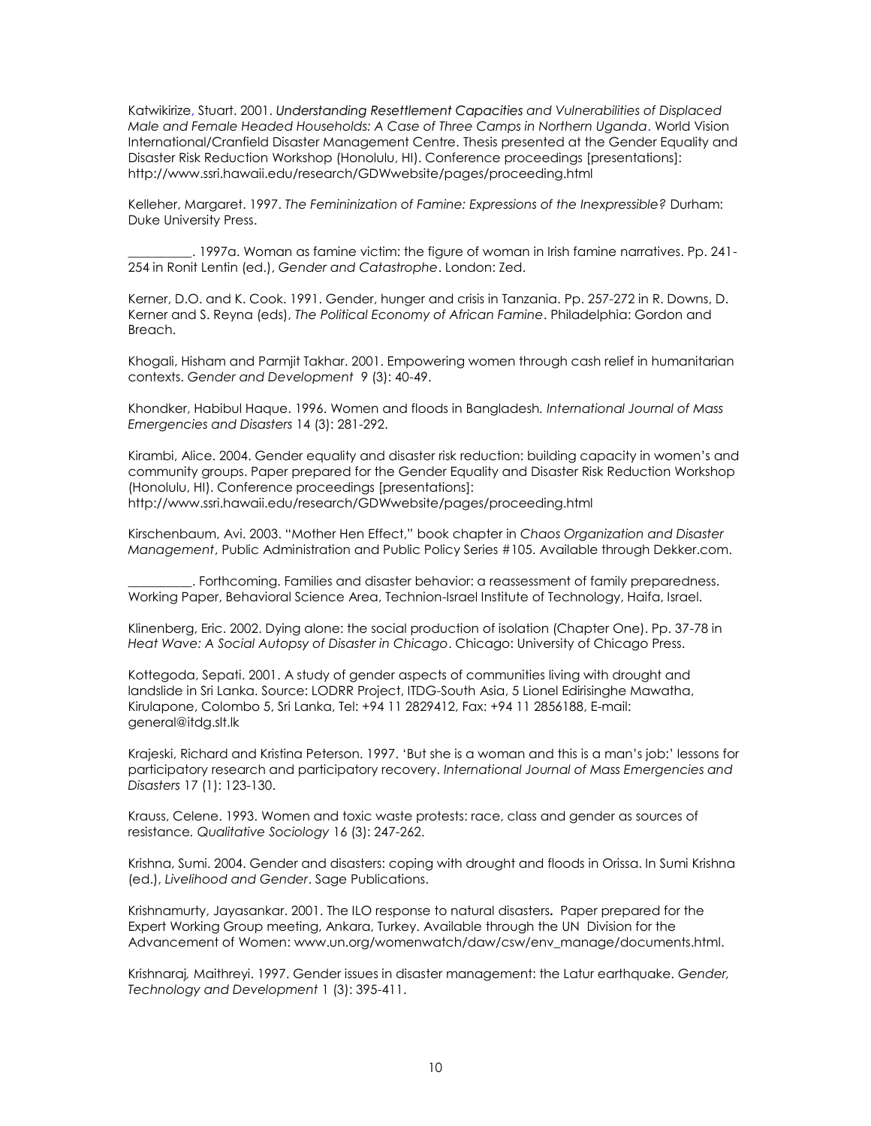Katwikirize, Stuart. 2001. *Understanding Resettlement Capacities and Vulnerabilities of Displaced Male and Female Headed Households: A Case of Three Camps in Northern Uganda*. World Vision International/Cranfield Disaster Management Centre. Thesis presented at the Gender Equality and Disaster Risk Reduction Workshop (Honolulu, HI). Conference proceedings [presentations]: http://www.ssri.hawaii.edu/research/GDWwebsite/pages/proceeding.html

Kelleher, Margaret. 1997. *The Femininization of Famine: Expressions of the Inexpressible?* Durham: Duke University Press.

\_\_\_\_\_\_\_\_\_\_. 1997a. Woman as famine victim: the figure of woman in Irish famine narratives. Pp. 241- 254 in Ronit Lentin (ed.), *Gender and Catastrophe*. London: Zed.

Kerner, D.O. and K. Cook. 1991. Gender, hunger and crisis in Tanzania. Pp. 257-272 in R. Downs, D. Kerner and S. Reyna (eds), *The Political Economy of African Famine*. Philadelphia: Gordon and Breach.

Khogali, Hisham and Parmjit Takhar. 2001. Empowering women through cash relief in humanitarian contexts. *Gender and Development* 9 (3): 40-49.

Khondker, Habibul Haque. 1996. Women and floods in Bangladesh*. International Journal of Mass Emergencies and Disasters* 14 (3): 281-292.

Kirambi, Alice. 2004. Gender equality and disaster risk reduction: building capacity in women's and community groups. Paper prepared for the Gender Equality and Disaster Risk Reduction Workshop (Honolulu, HI). Conference proceedings [presentations]: http://www.ssri.hawaii.edu/research/GDWwebsite/pages/proceeding.html

Kirschenbaum, Avi. 2003. "Mother Hen Effect," book chapter in *Chaos Organization and Disaster Management*, Public Administration and Public Policy Series #105. Available through Dekker.com.

\_\_\_\_\_\_\_\_\_\_. Forthcoming. Families and disaster behavior: a reassessment of family preparedness. Working Paper, Behavioral Science Area, Technion-Israel Institute of Technology, Haifa, Israel.

Klinenberg, Eric. 2002. Dying alone: the social production of isolation (Chapter One). Pp. 37-78 in *Heat Wave: A Social Autopsy of Disaster in Chicago*. Chicago: University of Chicago Press.

Kottegoda, Sepati. 2001. A study of gender aspects of communities living with drought and landslide in Sri Lanka. Source: LODRR Project, ITDG-South Asia, 5 Lionel Edirisinghe Mawatha, Kirulapone, Colombo 5, Sri Lanka, Tel: +94 11 2829412, Fax: +94 11 2856188, E-mail: [general@itdg.slt.lk](mailto:general@itdg.slt.lk)

Krajeski, Richard and Kristina Peterson. 1997. 'But she is a woman and this is a man's job:' lessons for participatory research and participatory recovery. *International Journal of Mass Emergencies and Disasters* 17 (1): 123-130.

Krauss, Celene. 1993. Women and toxic waste protests: race, class and gender as sources of resistance*. Qualitative Sociology* 16 (3): 247-262.

Krishna, Sumi. 2004. Gender and disasters: coping with drought and floods in Orissa. In Sumi Krishna (ed.), *Livelihood and Gender*. Sage Publications.

Krishnamurty, Jayasankar. 2001. [The ILO response to natural disasters](http://www.un.org/womenwatch/daw/csw/env_manage/documents/OP4-2001Oct.pdf)**.** Paper prepared for the Expert Working Group meeting, Ankara, Turkey. Available through the UN Division for the Advancement of Women: www.un.org/womenwatch/daw/csw/env\_manage/documents.html.

Krishnaraj*,* Maithreyi. 1997. Gender issues in disaster management: the Latur earthquake. *Gender, Technology and Development* 1 (3): 395-411.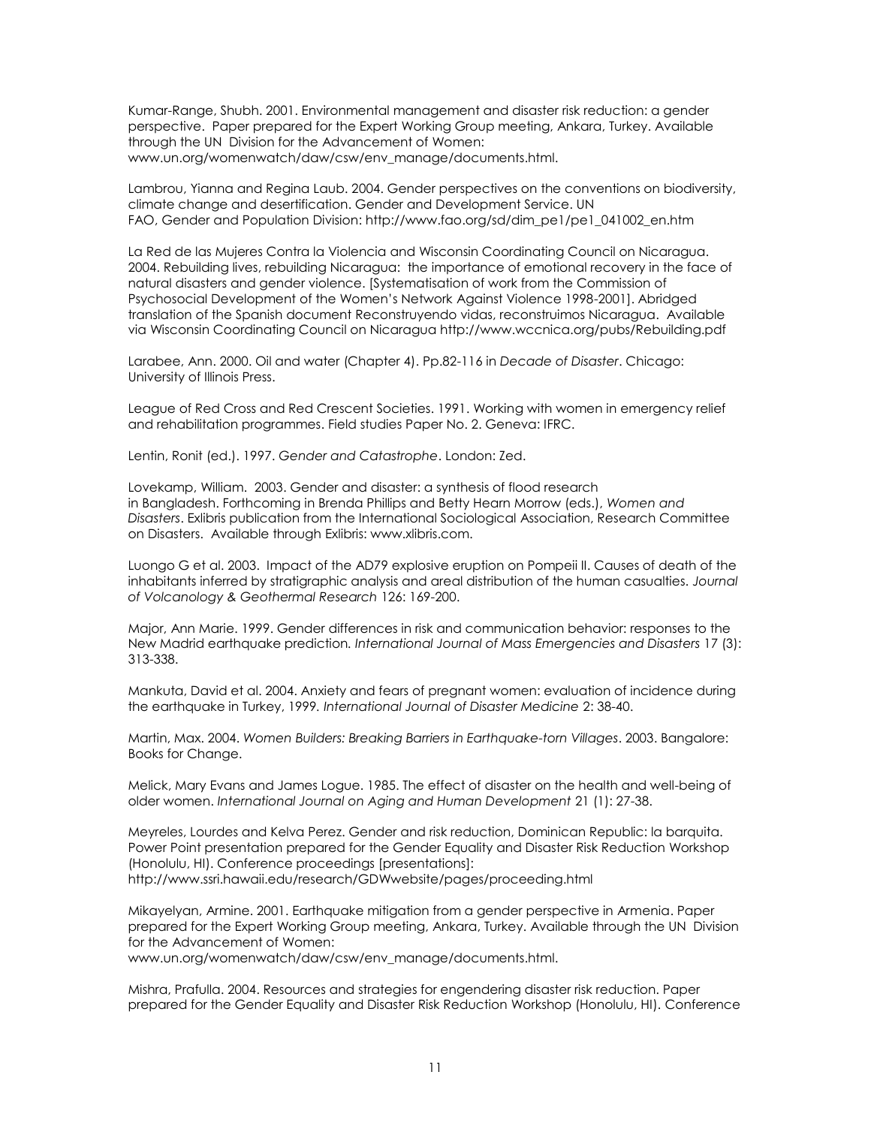Kumar-Range, Shubh. 2001. [Environmental management and disaster risk reduction: a gender](http://www.un.org/womenwatch/daw/csw/env_manage/documents/BP1-2001Nov04.pdf)  [perspective.](http://www.un.org/womenwatch/daw/csw/env_manage/documents/BP1-2001Nov04.pdf) Paper prepared for the Expert Working Group meeting, Ankara, Turkey. Available through the UN Division for the Advancement of Women: www.un.org/womenwatch/daw/csw/env\_manage/documents.html.

Lambrou, Yianna and Regina Laub. 2004. Gender perspectives on the conventions on biodiversity, climate change and desertification. Gender and Development Service. UN FAO, Gender and Population Division: [http://www.fao.org/sd/dim\\_pe1/pe1\\_041002\\_en.htm](http://www.fao.org/sd/dim_pe1/pe1_041002_en.htm)

La Red de las Mujeres Contra la Violencia and Wisconsin Coordinating Council on Nicaragua. 2004. Rebuilding lives, rebuilding Nicaragua: the importance of emotional recovery in the face of natural disasters and gender violence. [Systematisation of work from the Commission of Psychosocial Development of the Women's Network Against Violence 1998-2001]. Abridged translation of the Spanish document Reconstruyendo vidas, reconstruimos Nicaragua. Available via Wisconsin Coordinating Council on Nicaragua http://www.wccnica.org/pubs/Rebuilding.pdf

Larabee, Ann. 2000. Oil and water (Chapter 4). Pp.82-116 in *Decade of Disaster*. Chicago: University of Illinois Press.

League of Red Cross and Red Crescent Societies. 1991. Working with women in emergency relief and rehabilitation programmes. Field studies Paper No. 2. Geneva: IFRC.

Lentin, Ronit (ed.). 1997. *Gender and Catastrophe*. London: Zed.

Lovekamp, William. 2003. Gender and disaster: a synthesis of flood research in Bangladesh. Forthcoming in Brenda Phillips and Betty Hearn Morrow (eds.), *Women and Disasters*. Exlibris publication from the International Sociological Association, Research Committee on Disasters. Available through Exlibris: www.xlibris.com.

Luongo G et al. 2003. Impact of the AD79 explosive eruption on Pompeii II. Causes of death of the inhabitants inferred by stratigraphic analysis and areal distribution of the human casualties. *Journal of Volcanology & Geothermal Research* 126: 169-200.

Major, Ann Marie. 1999. Gender differences in risk and communication behavior: responses to the New Madrid earthquake prediction*. International Journal of Mass Emergencies and Disasters* 17 (3): 313-338.

Mankuta, David et al. 2004. Anxiety and fears of pregnant women: evaluation of incidence during the earthquake in Turkey, 1999*. International Journal of Disaster Medicine* 2: 38-40.

Martin, Max. 2004. *Women Builders: Breaking Barriers in Earthquake-torn Villages*. 2003. Bangalore: Books for Change.

Melick, Mary Evans and James Logue. 1985. The effect of disaster on the health and well-being of older women. *International Journal on Aging and Human Development* 21 (1): 27-38.

Meyreles, Lourdes and Kelva Perez. Gender and risk reduction, Dominican Republic: la barquita. Power Point presentation prepared for the Gender Equality and Disaster Risk Reduction Workshop (Honolulu, HI). Conference proceedings [presentations]: http://www.ssri.hawaii.edu/research/GDWwebsite/pages/proceeding.html

Mikayelyan, Armine. 2001[. Earthquake mitigation from a gender perspective in Armenia.](http://www.un.org/womenwatch/daw/csw/env_manage/documents/EP8-2001Oct31a.pdf) Paper prepared for the Expert Working Group meeting, Ankara, Turkey. Available through the UN Division for the Advancement of Women:

www.un.org/womenwatch/daw/csw/env\_manage/documents.html.

Mishra, Prafulla. 2004. Resources and strategies for engendering disaster risk reduction. Paper prepared for the Gender Equality and Disaster Risk Reduction Workshop (Honolulu, HI). Conference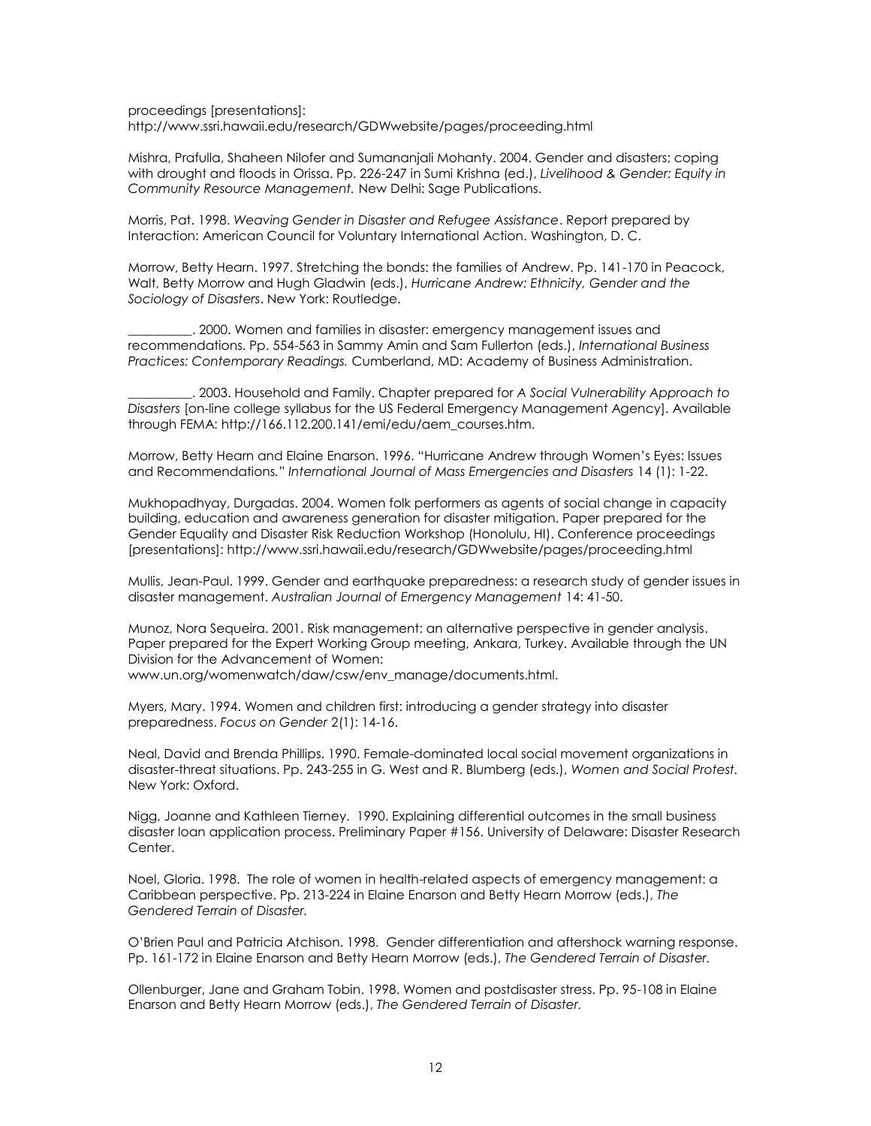proceedings [presentations]: http://www.ssri.hawaii.edu/research/GDWwebsite/pages/proceeding.html

Mishra, Prafulla, Shaheen Nilofer and Sumananjali Mohanty. 2004. Gender and disasters; coping with drought and floods in Orissa. Pp. 226-247 in Sumi Krishna (ed.), *Livelihood & Gender: Equity in Community Resource Management.* New Delhi: Sage Publications.

Morris, Pat. 1998. *Weaving Gender in Disaster and Refugee Assistance*. Report prepared by Interaction: American Council for Voluntary International Action. Washington, D. C.

Morrow, Betty Hearn. 1997. Stretching the bonds: the families of Andrew. Pp. 141-170 in Peacock, Walt, Betty Morrow and Hugh Gladwin (eds.), *Hurricane Andrew: Ethnicity, Gender and the Sociology of Disasters*. New York: Routledge.

\_\_\_\_\_\_\_\_\_\_. 2000. Women and families in disaster: emergency management issues and recommendations. Pp. 554-563 in Sammy Amin and Sam Fullerton (eds.), *International Business Practices: Contemporary Readings.* Cumberland, MD: Academy of Business Administration.

\_\_\_\_\_\_\_\_\_\_. 2003. Household and Family. Chapter prepared for *A Social Vulnerability Approach to Disasters* [on-line college syllabus for the US Federal Emergency Management Agency]. Available through FEMA: http://166.112.200.141/emi/edu/aem\_courses.htm.

Morrow, Betty Hearn and Elaine Enarson. 1996. "Hurricane Andrew through Women's Eyes: Issues and Recommendations*." International Journal of Mass Emergencies and Disasters* 14 (1): 1-22.

Mukhopadhyay, Durgadas. 2004. Women folk performers as agents of social change in capacity building, education and awareness generation for disaster mitigation. Paper prepared for the Gender Equality and Disaster Risk Reduction Workshop (Honolulu, HI). Conference proceedings [presentations]: http://www.ssri.hawaii.edu/research/GDWwebsite/pages/proceeding.html

Mullis, Jean-Paul. 1999. Gender and earthquake preparedness: a research study of gender issues in disaster management. *Australian Journal of Emergency Management* 14: 41-50.

Munoz, Nora Sequeira. 2001. [Risk management: an alternative perspective in gender analysis.](http://www.un.org/womenwatch/daw/csw/env_manage/documents/EP7-2001Nov06.pdf) Paper prepared for the Expert Working Group meeting, Ankara, Turkey. Available through the UN Division for the Advancement of Women:

www.un.org/womenwatch/daw/csw/env\_manage/documents.html.

Myers, Mary. 1994. Women and children first: introducing a gender strategy into disaster preparedness. *Focus on Gender* 2(1): 14-16.

Neal, David and Brenda Phillips. 1990. Female-dominated local social movement organizations in disaster-threat situations. Pp. 243-255 in G. West and R. Blumberg (eds.), *Women and Social Protest.* New York: Oxford.

Nigg, Joanne and Kathleen Tierney. 1990. Explaining differential outcomes in the small business disaster loan application process. Preliminary Paper #156. University of Delaware: Disaster Research Center.

Noel, Gloria. 1998. The role of women in health-related aspects of emergency management: a Caribbean perspective. Pp. 213-224 in Elaine Enarson and Betty Hearn Morrow (eds.), *The Gendered Terrain of Disaster.* 

O'Brien Paul and Patricia Atchison. 1998. Gender differentiation and aftershock warning response. Pp. 161-172 in Elaine Enarson and Betty Hearn Morrow (eds.), *The Gendered Terrain of Disaster.* 

Ollenburger, Jane and Graham Tobin. 1998. Women and postdisaster stress. Pp. 95-108 in Elaine Enarson and Betty Hearn Morrow (eds.), *The Gendered Terrain of Disaster.*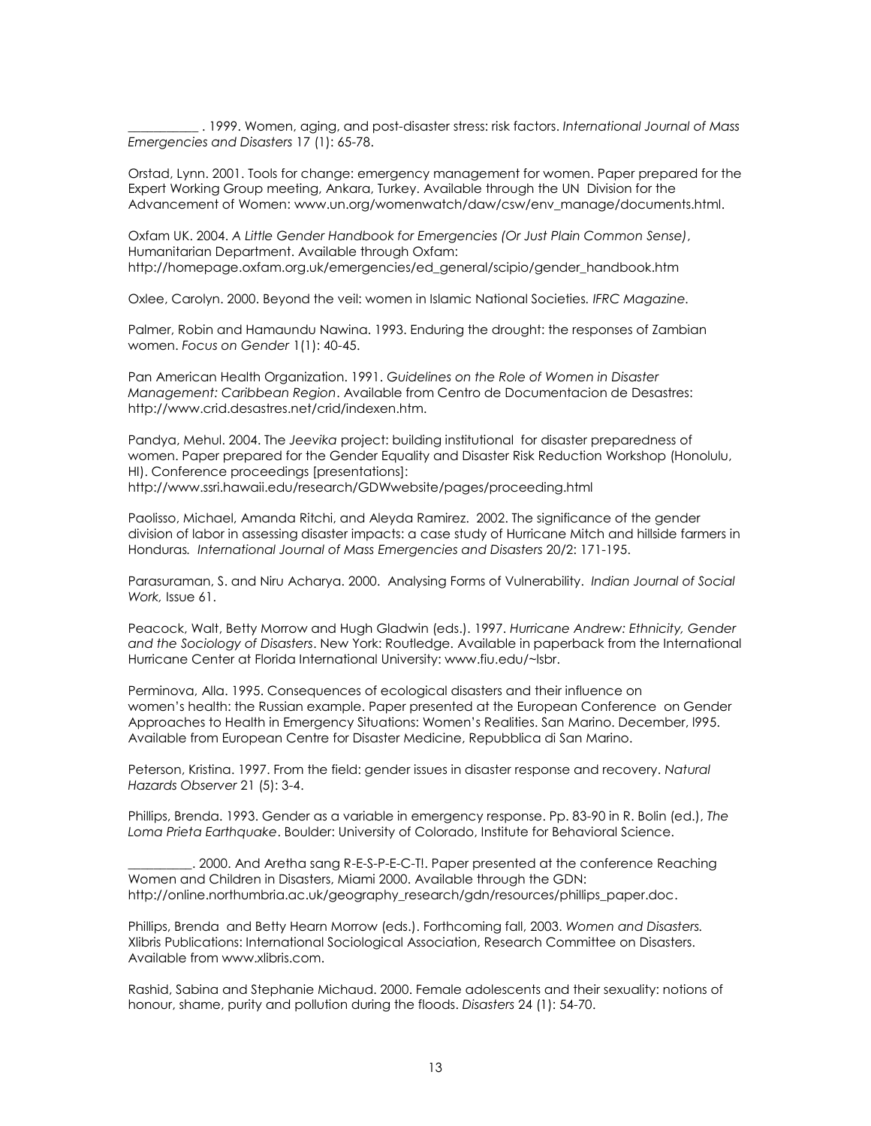\_\_\_\_\_\_\_\_\_\_\_ . 1999. Women, aging, and post-disaster stress: risk factors. *International Journal of Mass Emergencies and Disasters* 17 (1): 65-78.

Orstad, Lynn. 2001. [Tools for change: emergency management for women.](http://www.un.org/womenwatch/daw/csw/env_manage/documents/EP2-2001Oct22.pdf) Paper prepared for the Expert Working Group meeting, Ankara, Turkey. Available through the UN Division for the Advancement of Women: www.un.org/womenwatch/daw/csw/env\_manage/documents.html.

Oxfam UK. 2004. *A Little Gender Handbook for Emergencies (Or Just Plain Common Sense)*, Humanitarian Department. Available through Oxfam: http://homepage.oxfam.org.uk/emergencies/ed\_general/scipio/gender\_handbook.htm

Oxlee, Carolyn. 2000. Beyond the veil: women in Islamic National Societies*. IFRC Magazine.* 

Palmer, Robin and Hamaundu Nawina. 1993. Enduring the drought: the responses of Zambian women. *Focus on Gender* 1(1): 40-45.

Pan American Health Organization. 1991. *Guidelines on the Role of Women in Disaster Management: Caribbean Region*. Available from Centro de Documentacion de Desastres: http://www.crid.desastres.net/crid/indexen.htm.

Pandya, Mehul. 2004. The *Jeevika* project: building institutional for disaster preparedness of women. Paper prepared for the Gender Equality and Disaster Risk Reduction Workshop (Honolulu, HI). Conference proceedings [presentations]: http://www.ssri.hawaii.edu/research/GDWwebsite/pages/proceeding.html

Paolisso, Michael, Amanda Ritchi, and Aleyda Ramirez. 2002. The significance of the gender division of labor in assessing disaster impacts: a case study of Hurricane Mitch and hillside farmers in Honduras*. International Journal of Mass Emergencies and Disasters* 20/2: 171-195.

Parasuraman, S. and Niru Acharya. 2000. Analysing Forms of Vulnerability. *Indian Journal of Social Work,* Issue 61.

Peacock, Walt, Betty Morrow and Hugh Gladwin (eds.). 1997. *Hurricane Andrew: Ethnicity, Gender and the Sociology of Disasters*. New York: Routledge. Available in paperback from the International Hurricane Center at Florida International University: www.fiu.edu/~lsbr.

Perminova, Alla. 1995. Consequences of ecological disasters and their influence on women's health: the Russian example. Paper presented at the European Conference on Gender Approaches to Health in Emergency Situations: Women's Realities. San Marino. December, l995. Available from European Centre for Disaster Medicine, Repubblica di San Marino.

Peterson, Kristina. 1997. From the field: gender issues in disaster response and recovery. *Natural Hazards Observer* 21 (5): 3-4.

Phillips, Brenda. 1993. Gender as a variable in emergency response. Pp. 83-90 in R. Bolin (ed.), *The Loma Prieta Earthquake*. Boulder: University of Colorado, Institute for Behavioral Science.

\_\_\_\_\_\_\_\_\_\_. 2000. And Aretha sang R-E-S-P-E-C-T!. Paper presented at the conference Reaching Women and Children in Disasters, Miami 2000. Available through the GDN: http://online.northumbria.ac.uk/geography\_research/gdn/resources/phillips\_paper.doc.

Phillips, Brenda and Betty Hearn Morrow (eds.). Forthcoming fall, 2003. *Women and Disasters.* Xlibris Publications: International Sociological Association, Research Committee on Disasters. Available from www.xlibris.com.

Rashid, Sabina and Stephanie Michaud. 2000. Female adolescents and their sexuality: notions of honour, shame, purity and pollution during the floods. *Disasters* 24 (1): 54-70.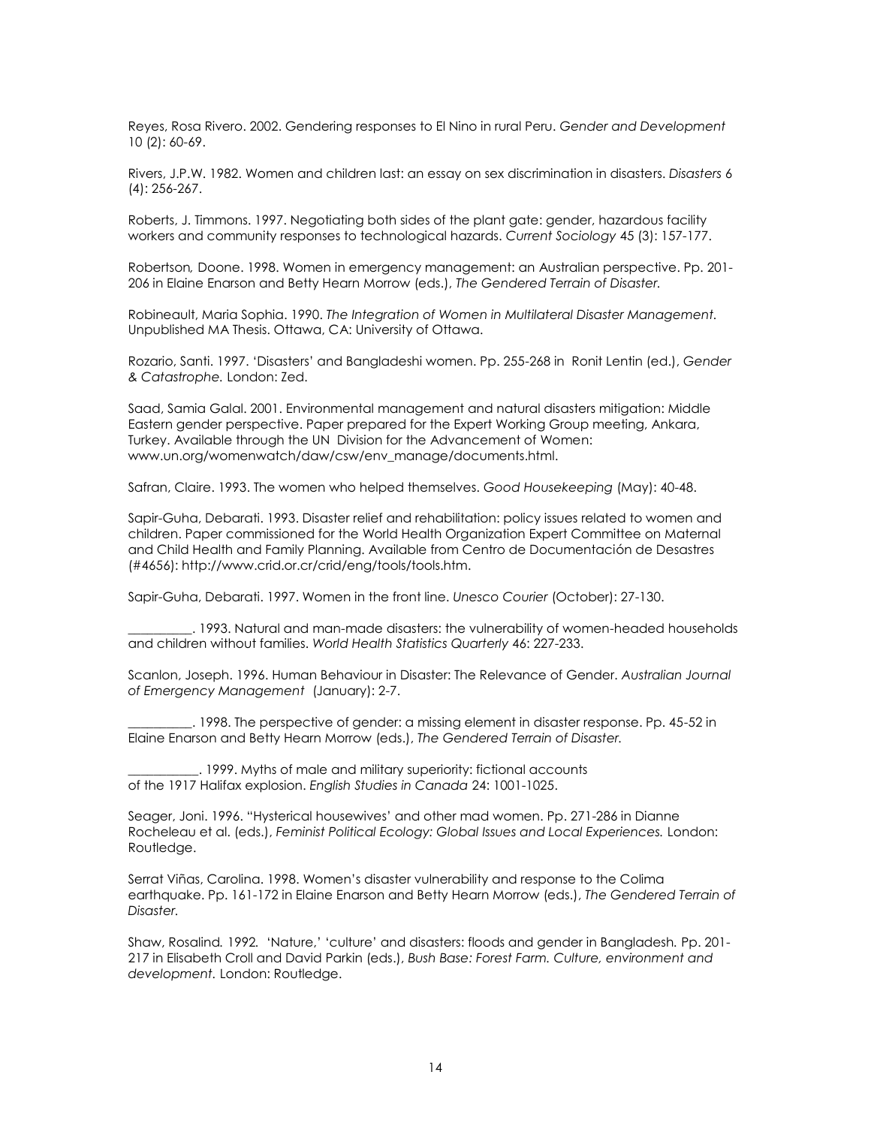Reyes, Rosa Rivero. 2002. Gendering responses to El Nino in rural Peru. *Gender and Development* 10 (2): 60-69.

Rivers, J.P.W. 1982. Women and children last: an essay on sex discrimination in disasters. *Disasters* 6 (4): 256-267.

Roberts, J. Timmons. 1997. Negotiating both sides of the plant gate: gender, hazardous facility workers and community responses to technological hazards. *Current Sociology* 45 (3): 157-177.

Robertson*,* Doone. 1998. Women in emergency management: an Australian perspective. Pp. 201- 206 in Elaine Enarson and Betty Hearn Morrow (eds.), *The Gendered Terrain of Disaster.* 

Robineault, Maria Sophia. 1990. *The Integration of Women in Multilateral Disaster Management.* Unpublished MA Thesis. Ottawa, CA: University of Ottawa.

Rozario, Santi. 1997. 'Disasters' and Bangladeshi women. Pp. 255-268 in Ronit Lentin (ed.), *Gender & Catastrophe.* London: Zed.

Saad, Samia Galal. 2001. [Environmental management and natural disasters mitigation: Middle](http://www.un.org/womenwatch/daw/csw/env_manage/documents/EP3-2001Oct22.pdf)  [Eastern gender perspective.](http://www.un.org/womenwatch/daw/csw/env_manage/documents/EP3-2001Oct22.pdf) Paper prepared for the Expert Working Group meeting, Ankara, Turkey. Available through the UN Division for the Advancement of Women: www.un.org/womenwatch/daw/csw/env\_manage/documents.html.

Safran, Claire. 1993. The women who helped themselves. *Good Housekeeping* (May): 40-48.

Sapir-Guha, Debarati. 1993. Disaster relief and rehabilitation: policy issues related to women and children. Paper commissioned for the World Health Organization Expert Committee on Maternal and Child Health and Family Planning. Available from Centro de Documentación de Desastres (#4656): http://www.crid.or.cr/crid/eng/tools/tools.htm.

Sapir-Guha, Debarati. 1997. Women in the front line. *Unesco Courier* (October): 27-130.

\_\_\_\_\_\_\_\_\_\_. 1993. Natural and man-made disasters: the vulnerability of women-headed households and children without families. *World Health Statistics Quarterly* 46: 227-233.

Scanlon, Joseph. 1996. Human Behaviour in Disaster: The Relevance of Gender. *Australian Journal of Emergency Management* (January): 2-7.

\_\_\_\_\_\_\_\_\_\_. 1998. The perspective of gender: a missing element in disaster response. Pp. 45-52 in Elaine Enarson and Betty Hearn Morrow (eds.), *The Gendered Terrain of Disaster.* 

\_\_\_\_\_\_\_\_\_\_\_. 1999. Myths of male and military superiority: fictional accounts of the 1917 Halifax explosion. *English Studies in Canada* 24: 1001-1025.

Seager, Joni. 1996. "Hysterical housewives' and other mad women. Pp. 271-286 in Dianne Rocheleau et al. (eds.), *Feminist Political Ecology: Global Issues and Local Experiences.* London: Routledge.

Serrat Viñas, Carolina. 1998. Women's disaster vulnerability and response to the Colima earthquake. Pp. 161-172 in Elaine Enarson and Betty Hearn Morrow (eds.), *The Gendered Terrain of Disaster.* 

Shaw, Rosalind*.* 1992*.* 'Nature,' 'culture' and disasters: floods and gender in Bangladesh*.* Pp. 201- 217 in Elisabeth Croll and David Parkin (eds.), *Bush Base: Forest Farm. Culture, environment and development.* London: Routledge.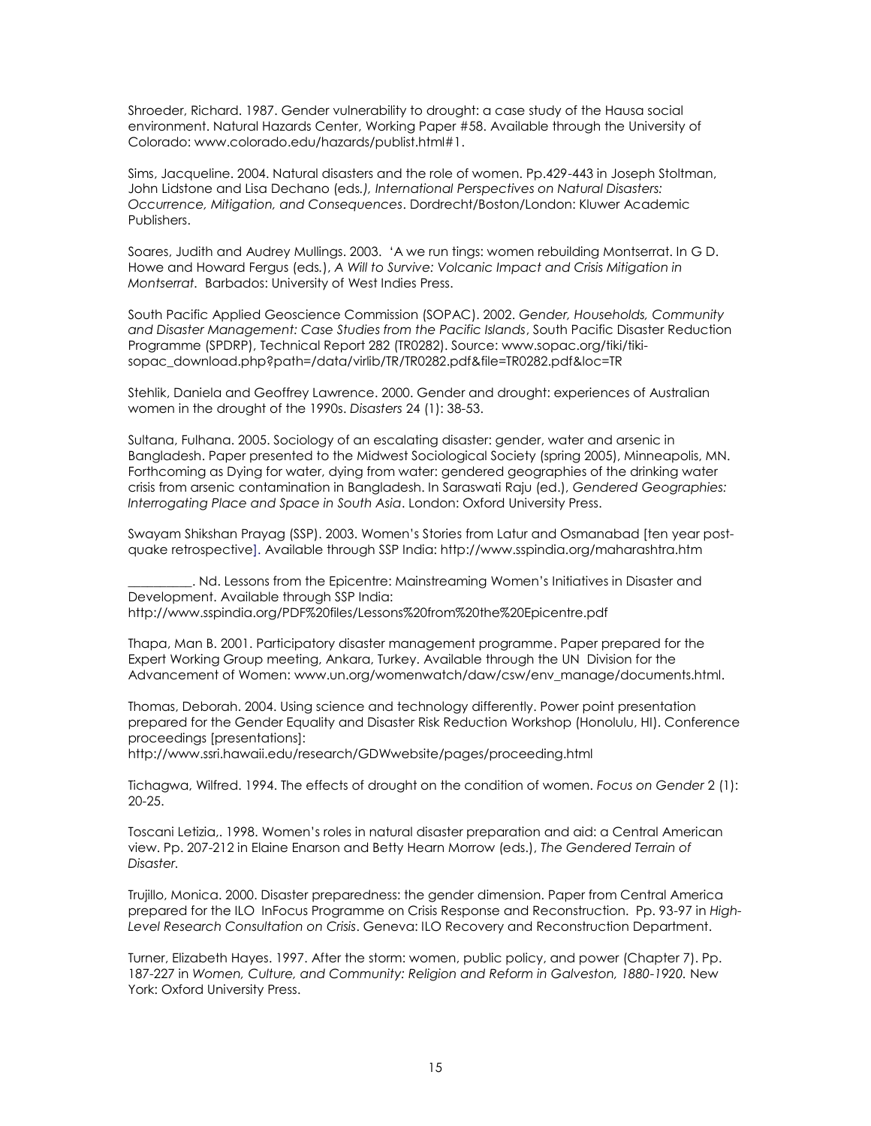Shroeder, Richard. 1987. Gender vulnerability to drought: a case study of the Hausa social environment. Natural Hazards Center, Working Paper #58. Available through the University of Colorado: www.colorado.edu/hazards/publist.html#1.

Sims, Jacqueline. 2004. Natural disasters and the role of women. Pp.429-443 in Joseph Stoltman, John Lidstone and Lisa Dechano (eds*.), International Perspectives on Natural Disasters: Occurrence, Mitigation, and Consequences*. Dordrecht/Boston/London: Kluwer Academic Publishers.

Soares, Judith and Audrey Mullings. 2003. 'A we run tings: women rebuilding Montserrat. In G D. Howe and Howard Fergus (eds*.*), *A Will to Survive: Volcanic Impact and Crisis Mitigation in Montserrat.* Barbados: University of West Indies Press.

South Pacific Applied Geoscience Commission (SOPAC). 2002. *Gender, Households, Community and Disaster Management: Case Studies from the Pacific Islands*, South Pacific Disaster Reduction Programme (SPDRP), Technical Report 282 (TR0282). Source[: www.sopac.org/tiki/tiki](http://www.sopac.org/tiki/tiki-sopac_download.php?path=/data/virlib/TR/TR0282.pdf&file=TR0282.pdf&loc=TR)[sopac\\_download.php?path=/data/virlib/TR/TR0282.pdf&file=TR0282.pdf&loc=TR](http://www.sopac.org/tiki/tiki-sopac_download.php?path=/data/virlib/TR/TR0282.pdf&file=TR0282.pdf&loc=TR)

Stehlik, Daniela and Geoffrey Lawrence. 2000. Gender and drought: experiences of Australian women in the drought of the 1990s. *Disasters* 24 (1): 38-53.

Sultana, Fulhana. 2005. Sociology of an escalating disaster: gender, water and arsenic in Bangladesh. Paper presented to the Midwest Sociological Society (spring 2005), Minneapolis, MN. Forthcoming as Dying for water, dying from water: gendered geographies of the drinking water crisis from arsenic contamination in Bangladesh. In Saraswati Raju (ed.), *Gendered Geographies: Interrogating Place and Space in South Asia*. London: Oxford University Press.

Swayam Shikshan Prayag (SSP). 2003. Women's Stories from Latur and Osmanabad [ten year postquake retrospective]. Available through SSP India: http://www.sspindia.org/maharashtra.htm

\_\_\_\_\_\_\_\_\_\_. Nd. Lessons from the Epicentre: Mainstreaming Women's Initiatives in Disaster and Development. Available through SSP India: http://www.sspindia.org/PDF%20files/Lessons%20from%20the%20Epicentre.pdf

Thapa, Man B. 2001. [Participatory disaster management programme.](http://www.un.org/womenwatch/daw/csw/env_manage/documents/OP5-2001Nov09.pdf) Paper prepared for the Expert Working Group meeting, Ankara, Turkey. Available through the UN Division for the Advancement of Women: www.un.org/womenwatch/daw/csw/env\_manage/documents.html.

Thomas, Deborah. 2004. Using science and technology differently. Power point presentation prepared for the Gender Equality and Disaster Risk Reduction Workshop (Honolulu, HI). Conference proceedings [presentations]:

http://www.ssri.hawaii.edu/research/GDWwebsite/pages/proceeding.html

Tichagwa, Wilfred. 1994. The effects of drought on the condition of women. *Focus on Gender* 2 (1): 20-25.

Toscani Letizia,. 1998. Women's roles in natural disaster preparation and aid: a Central American view. Pp. 207-212 in Elaine Enarson and Betty Hearn Morrow (eds.), *The Gendered Terrain of Disaster.* 

Trujillo, Monica. 2000. Disaster preparedness: the gender dimension. Paper from Central America prepared for the ILO InFocus Programme on Crisis Response and Reconstruction. Pp. 93-97 in *High-Level Research Consultation on Crisis*. Geneva: ILO Recovery and Reconstruction Department.

Turner, Elizabeth Hayes. 1997. After the storm: women, public policy, and power (Chapter 7). Pp. 187-227 in *Women, Culture, and Community: Religion and Reform in Galveston, 1880-1920.* New York: Oxford University Press.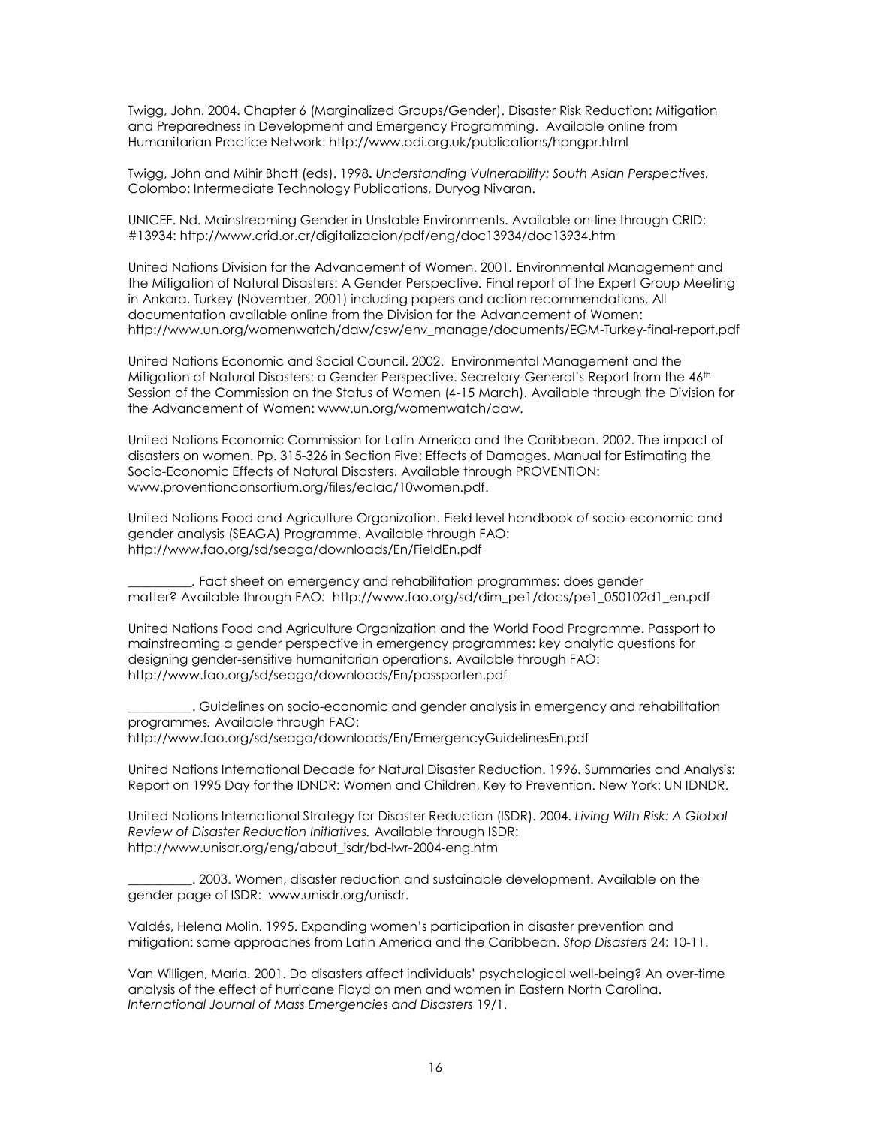Twigg, John. 2004. Chapter 6 (Marginalized Groups/Gender). Disaster Risk Reduction: Mitigation and Preparedness in Development and Emergency Programming. Available online from Humanitarian Practice Network: http://www.odi.org.uk/publications/hpngpr.html

Twigg, John and Mihir Bhatt (eds). 1998**.** *Understanding Vulnerability: South Asian Perspectives.* Colombo: Intermediate Technology Publications, Duryog Nivaran.

UNICEF. Nd. Mainstreaming Gender in Unstable Environments. Available on-line through CRID: #13934[: http://www.crid.or.cr/digitalizacion/pdf/eng/doc13934/doc13934.htm](http://www.crid.or.cr/digitalizacion/pdf/eng/doc13934/doc13934.htm)

United Nations Division for the Advancement of Women. 2001*.* Environmental Management and the Mitigation of Natural Disasters: A Gender Perspective*.* Final report of the Expert Group Meeting in Ankara, Turkey (November, 2001) including papers and action recommendations. All documentation available online from the Division for the Advancement of Women: http://www.un.org/womenwatch/daw/csw/env\_manage/documents/EGM-Turkey-final-report.pdf

United Nations Economic and Social Council. 2002. Environmental Management and the Mitigation of Natural Disasters: a Gender Perspective. Secretary-General's Report from the 46<sup>th</sup> Session of the Commission on the Status of Women (4-15 March). Available through the Division for the Advancement of Women: www.un.org/womenwatch/daw.

United Nations Economic Commission for Latin America and the Caribbean. 2002. The impact of disasters on women. Pp. 315-326 in Section Five: Effects of Damages. Manual for Estimating the Socio-Economic Effects of Natural Disasters. Available through PROVENTION: www.proventionconsortium.org/files/eclac/10women.pdf.

United Nations Food and Agriculture Organization. Field level handbook *of* socio-economic and gender analysis (SEAGA) Programme. Available through FAO: <http://www.fao.org/sd/seaga/downloads/En/FieldEn.pdf>

*\_\_\_\_\_\_\_\_\_\_.* Fact sheet on emergency and rehabilitation programmes: does gender matter? Available through FAO*:* [http://www.fao.org/sd/dim\\_pe1/docs/pe1\\_050102d1\\_en.pdf](http://www.fao.org/sd/dim_pe1/docs/pe1_050102d1_en.pdf)

United Nations Food and Agriculture Organization and the World Food Programme. Passport to mainstreaming a gender perspective in emergency programmes: key analytic questions for designing gender-sensitive humanitarian operations. Available through FAO: <http://www.fao.org/sd/seaga/downloads/En/passporten.pdf>

\_\_\_\_\_\_\_\_\_\_. Guidelines on socio-economic and gender analysis in emergency and rehabilitation programmes*.* Available through FAO: <http://www.fao.org/sd/seaga/downloads/En/EmergencyGuidelinesEn.pdf>

United Nations International Decade for Natural Disaster Reduction. 1996. Summaries and Analysis: Report on 1995 Day for the IDNDR: Women and Children, Key to Prevention. New York: UN IDNDR.

United Nations International Strategy for Disaster Reduction (ISDR). 2004. *Living With Risk: A Global Review of Disaster Reduction Initiatives.* Available through ISDR: [http://www.unisdr.org/eng/about\\_isdr/bd-lwr-2004-eng.htm](http://www.unisdr.org/eng/about_isdr/bd-lwr-2004-eng.htm)

\_\_\_\_\_\_\_\_\_\_. 2003. Women, disaster reduction and sustainable development. Available on the gender page of ISDR: [www.unisdr.org/unisdr.](http://www.unisdr.org/unisdr)

Valdés, Helena Molin. 1995. Expanding women's participation in disaster prevention and mitigation: some approaches from Latin America and the Caribbean. *Stop Disasters* 24: 10-11.

Van Willigen, Maria. 2001. Do disasters affect individuals' psychological well-being? An over-time analysis of the effect of hurricane Floyd on men and women in Eastern North Carolina. *International Journal of Mass Emergencies and Disasters* 19/1.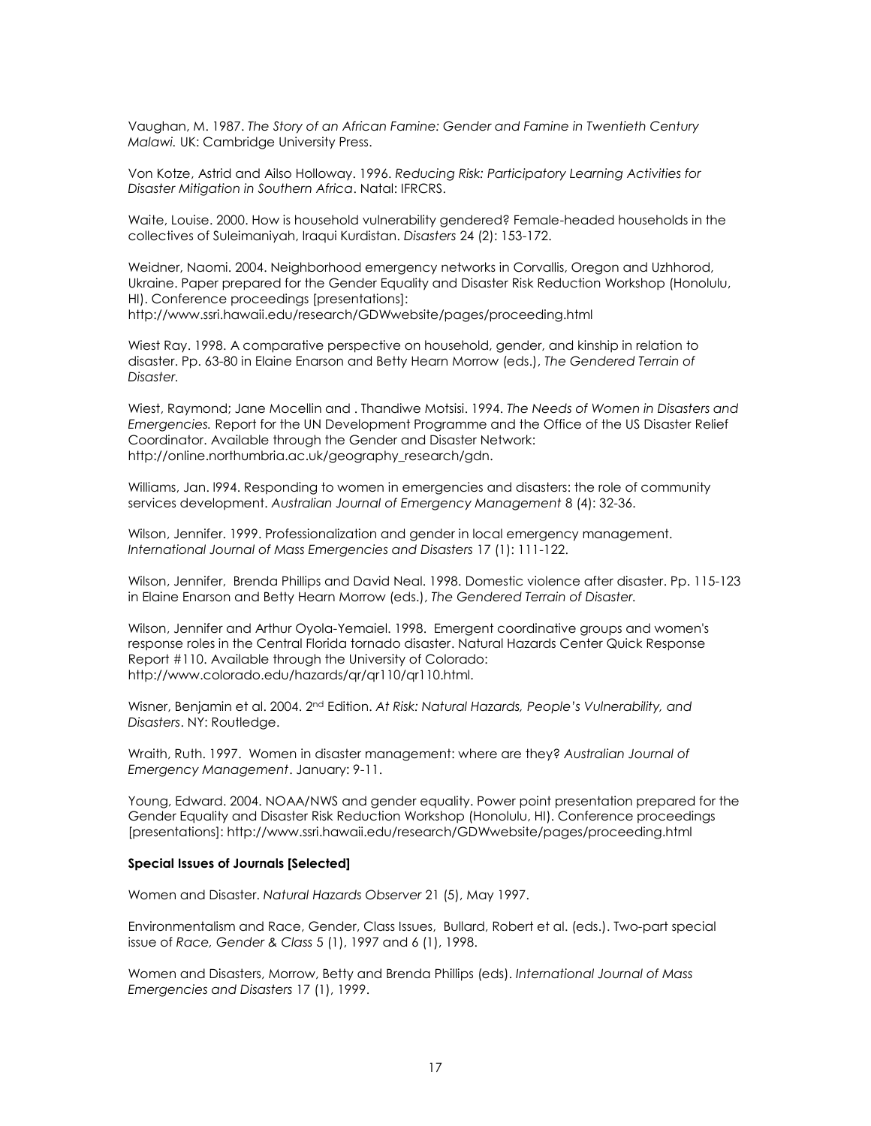Vaughan, M. 1987. *The Story of an African Famine: Gender and Famine in Twentieth Century Malawi.* UK: Cambridge University Press.

Von Kotze, Astrid and Ailso Holloway. 1996. *Reducing Risk: Participatory Learning Activities for Disaster Mitigation in Southern Africa*. Natal: IFRCRS.

Waite, Louise. 2000. How is household vulnerability gendered? Female-headed households in the collectives of Suleimaniyah, Iraqui Kurdistan. *Disasters* 24 (2): 153-172.

Weidner, Naomi. 2004. Neighborhood emergency networks in Corvallis, Oregon and Uzhhorod, Ukraine. Paper prepared for the Gender Equality and Disaster Risk Reduction Workshop (Honolulu, HI). Conference proceedings [presentations]: http://www.ssri.hawaii.edu/research/GDWwebsite/pages/proceeding.html

Wiest Ray. 1998. A comparative perspective on household, gender, and kinship in relation to disaster. Pp. 63-80 in Elaine Enarson and Betty Hearn Morrow (eds.), *The Gendered Terrain of Disaster.* 

Wiest, Raymond; Jane Mocellin and . Thandiwe Motsisi. 1994. *The Needs of Women in Disasters and Emergencies.* Report for the UN Development Programme and the Office of the US Disaster Relief Coordinator. Available through the Gender and Disaster Network: http://online.northumbria.ac.uk/geography\_research/gdn.

Williams, Jan. l994. Responding to women in emergencies and disasters: the role of community services development. *Australian Journal of Emergency Management* 8 (4): 32-36.

Wilson, Jennifer. 1999. Professionalization and gender in local emergency management. *International Journal of Mass Emergencies and Disasters* 17 (1): 111-122.

Wilson, Jennifer, Brenda Phillips and David Neal. 1998. Domestic violence after disaster. Pp. 115-123 in Elaine Enarson and Betty Hearn Morrow (eds.), *The Gendered Terrain of Disaster.* 

Wilson, Jennifer and Arthur Oyola-Yemaiel. 1998. Emergent coordinative groups and women's response roles in the Central Florida tornado disaster. Natural Hazards Center Quick Response Report #110. Available through the University of Colorado: http://www.colorado.edu/hazards/qr/qr110/qr110.html.

Wisner, Benjamin et al. 2004. 2<u>nd Edition. At Risk: Natural Hazards, People's Vulnerability, and</u> *Disasters*. NY: Routledge.

Wraith, Ruth. 1997. Women in disaster management: where are they? *Australian Journal of Emergency Management*. January: 9-11.

Young, Edward. 2004. NOAA/NWS and gender equality. Power point presentation prepared for the Gender Equality and Disaster Risk Reduction Workshop (Honolulu, HI). Conference proceedings [presentations]: http://www.ssri.hawaii.edu/research/GDWwebsite/pages/proceeding.html

#### **Special Issues of Journals [Selected]**

Women and Disaster. *Natural Hazards Observer* 21 (5), May 1997.

Environmentalism and Race, Gender, Class Issues, Bullard, Robert et al. (eds.). Two-part special issue of *Race, Gender & Class* 5 (1), 1997 and 6 (1), 1998.

Women and Disasters, Morrow, Betty and Brenda Phillips (eds). *International Journal of Mass Emergencies and Disasters* 17 (1), 1999.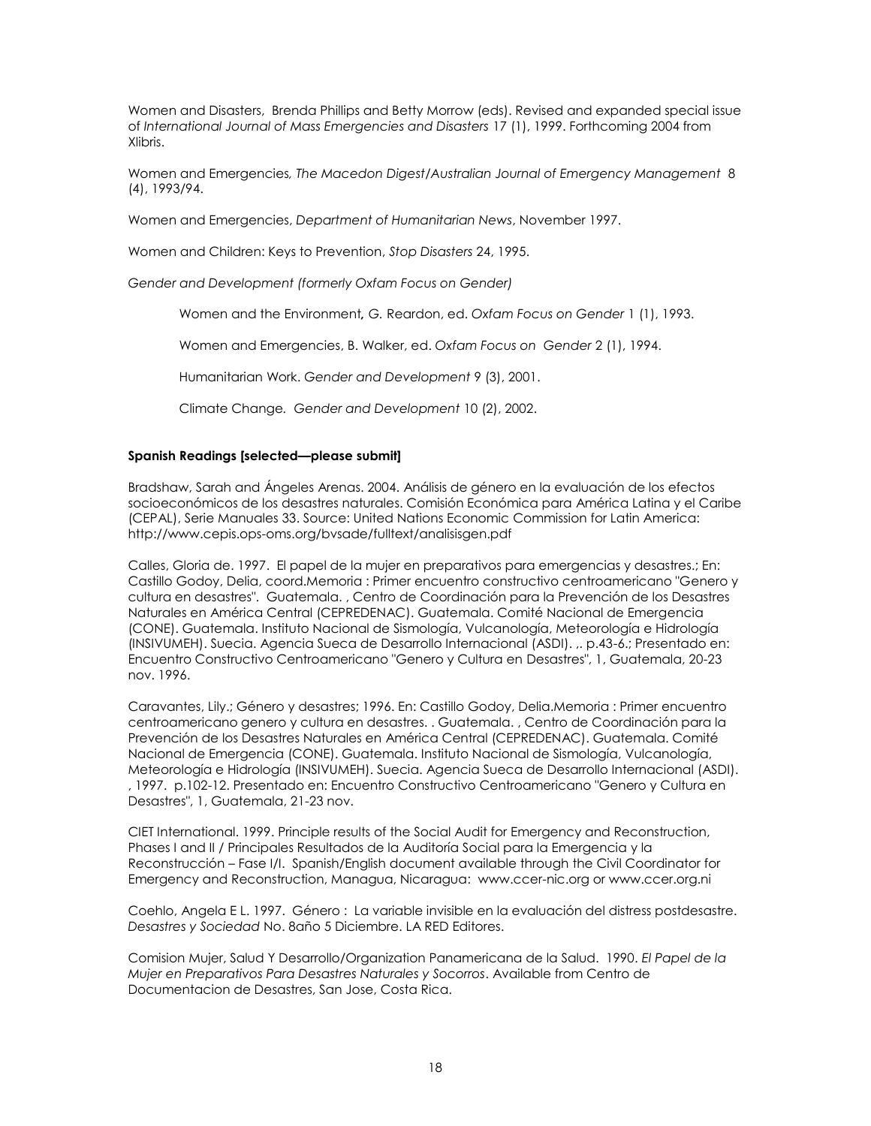Women and Disasters, Brenda Phillips and Betty Morrow (eds). Revised and expanded special issue of *International Journal of Mass Emergencies and Disasters* 17 (1), 1999. Forthcoming 2004 from Xlibris.

Women and Emergencies*, The Macedon Digest/Australian Journal of Emergency Management* 8 (4), 1993/94.

Women and Emergencies, *Department of Humanitarian News*, November 1997.

Women and Children: Keys to Prevention, *Stop Disasters* 24, 1995.

*Gender and Development (formerly Oxfam Focus on Gender)*

Women and the Environment*, G.* Reardon, ed. *Oxfam Focus on Gender* 1 (1), 1993.

Women and Emergencies, B. Walker, ed. *Oxfam Focus on Gender* 2 (1), 1994.

Humanitarian Work. *Gender and Development* 9 (3), 2001.

Climate Change*. Gender and Development* 10 (2), 2002.

# **Spanish Readings [selected—please submit]**

Bradshaw, Sarah and Ángeles Arenas. 2004. Análisis de género en la evaluación de los efectos socioeconómicos de los desastres naturales. Comisión Económica para América Latina y el Caribe (CEPAL), Serie Manuales 33. Source: United Nations Economic Commission for Latin America: http://www.cepis.ops-oms.org/bvsade/fulltext/analisisgen.pdf

Calles, Gloria de. 1997. El papel de la mujer en preparativos para emergencias y desastres.; En: Castillo Godoy, Delia, coord.Memoria : Primer encuentro constructivo centroamericano "Genero y cultura en desastres". Guatemala. , Centro de Coordinación para la Prevención de los Desastres Naturales en América Central (CEPREDENAC). Guatemala. Comité Nacional de Emergencia (CONE). Guatemala. Instituto Nacional de Sismología, Vulcanología, Meteorología e Hidrología (INSIVUMEH). Suecia. Agencia Sueca de Desarrollo Internacional (ASDI). ,. p.43-6.; Presentado en: Encuentro Constructivo Centroamericano "Genero y Cultura en Desastres", 1, Guatemala, 20-23 nov. 1996.

Caravantes, Lily.; Género y desastres; 1996. En: Castillo Godoy, Delia.Memoria : Primer encuentro centroamericano genero y cultura en desastres. . Guatemala. , Centro de Coordinación para la Prevención de los Desastres Naturales en América Central (CEPREDENAC). Guatemala. Comité Nacional de Emergencia (CONE). Guatemala. Instituto Nacional de Sismología, Vulcanología, Meteorología e Hidrología (INSIVUMEH). Suecia. Agencia Sueca de Desarrollo Internacional (ASDI). , 1997. p.102-12. Presentado en: Encuentro Constructivo Centroamericano "Genero y Cultura en Desastres", 1, Guatemala, 21-23 nov.

CIET International. 1999. Principle results of the Social Audit for Emergency and Reconstruction, Phases I and II / Principales Resultados de la Auditoría Social para la Emergencia y la Reconstrucción – Fase I/I. Spanish/English document available through the Civil Coordinator for Emergency and Reconstruction, Managua, Nicaragua: www.ccer-nic.org or www.ccer.org.ni

Coehlo, Angela E L. 1997. Género : La variable invisible en la evaluación del distress postdesastre. *Desastres y Sociedad* No. 8año 5 Diciembre. LA RED Editores.

Comision Mujer, Salud Y Desarrollo/Organization Panamericana de la Salud. 1990. *El Papel de la Mujer en Preparativos Para Desastres Naturales y Socorros*. Available from Centro de Documentacion de Desastres, San Jose, Costa Rica.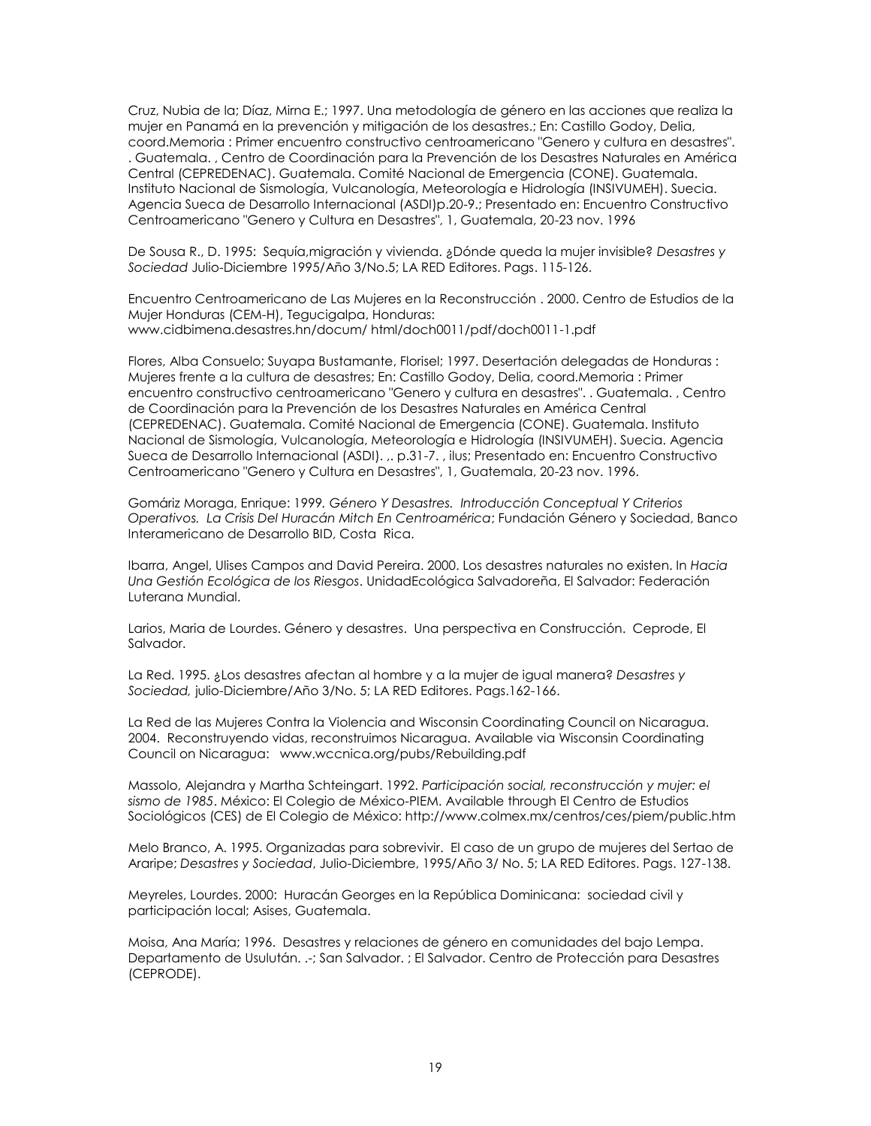Cruz, Nubia de la; Díaz, Mirna E.; 1997. Una metodología de género en las acciones que realiza la mujer en Panamá en la prevención y mitigación de los desastres.; En: Castillo Godoy, Delia, coord.Memoria : Primer encuentro constructivo centroamericano "Genero y cultura en desastres". . Guatemala. , Centro de Coordinación para la Prevención de los Desastres Naturales en América Central (CEPREDENAC). Guatemala. Comité Nacional de Emergencia (CONE). Guatemala. Instituto Nacional de Sismología, Vulcanología, Meteorología e Hidrología (INSIVUMEH). Suecia. Agencia Sueca de Desarrollo Internacional (ASDI)p.20-9.; Presentado en: Encuentro Constructivo Centroamericano "Genero y Cultura en Desastres", 1, Guatemala, 20-23 nov. 1996

De Sousa R., D. 1995: Sequía,migración y vivienda. ¿Dónde queda la mujer invisible? *Desastres y Sociedad* Julio-Diciembre 1995/Año 3/No.5; LA RED Editores. Pags. 115-126.

Encuentro Centroamericano de Las Mujeres en la Reconstrucción . 2000. Centro de Estudios de la Mujer Honduras (CEM-H), Tegucigalpa, Honduras: www.cidbimena.desastres.hn/docum/ html/doch0011/pdf/doch0011-1.pdf

Flores, Alba Consuelo; Suyapa Bustamante, Florisel; 1997. Desertación delegadas de Honduras : Mujeres frente a la cultura de desastres; En: Castillo Godoy, Delia, coord.Memoria : Primer encuentro constructivo centroamericano "Genero y cultura en desastres". . Guatemala. , Centro de Coordinación para la Prevención de los Desastres Naturales en América Central (CEPREDENAC). Guatemala. Comité Nacional de Emergencia (CONE). Guatemala. Instituto Nacional de Sismología, Vulcanología, Meteorología e Hidrología (INSIVUMEH). Suecia. Agencia Sueca de Desarrollo Internacional (ASDI). ,. p.31-7. , ilus; Presentado en: Encuentro Constructivo Centroamericano "Genero y Cultura en Desastres", 1, Guatemala, 20-23 nov. 1996.

Gomáriz Moraga, Enrique: 1999*. Género Y Desastres. Introducción Conceptual Y Criterios Operativos. La Crisis Del Huracán Mitch En Centroamérica*; Fundación Género y Sociedad, Banco Interamericano de Desarrollo BID, Costa Rica.

Ibarra, Angel, Ulises Campos and David Pereira. 2000. Los desastres naturales no existen. In *Hacia Una Gestión Ecológica de los Riesgos*. UnidadEcológica Salvadoreña, El Salvador: Federación Luterana Mundial.

Larios, Maria de Lourdes. Género y desastres. Una perspectiva en Construcción. Ceprode, El Salvador.

La Red. 1995. ¿Los desastres afectan al hombre y a la mujer de igual manera? *Desastres y Sociedad,* julio-Diciembre/Año 3/No. 5; LA RED Editores. Pags.162-166.

La Red de las Mujeres Contra la Violencia and Wisconsin Coordinating Council on Nicaragua. 2004. Reconstruyendo vidas, reconstruimos Nicaragua. Available via Wisconsin Coordinating Council on Nicaragua: www.wccnica.org/pubs/Rebuilding.pdf

Massolo, Alejandra y Martha Schteingart. 1992. *Participación social, reconstrucción y mujer: el sismo de 1985*. México: El Colegio de México-PIEM. Available through El Centro de Estudios Sociológicos (CES) de El Colegio de México: http://www.colmex.mx/centros/ces/piem/public.htm

Melo Branco, A. 1995. Organizadas para sobrevivir. El caso de un grupo de mujeres del Sertao de Araripe; *Desastres y Sociedad*, Julio-Diciembre, 1995/Año 3/ No. 5; LA RED Editores. Pags. 127-138.

Meyreles, Lourdes. 2000: Huracán Georges en la República Dominicana: sociedad civil y participación local; Asises, Guatemala.

Moisa, Ana María; 1996. Desastres y relaciones de género en comunidades del bajo Lempa. Departamento de Usulután. .-; San Salvador. ; El Salvador. Centro de Protección para Desastres (CEPRODE).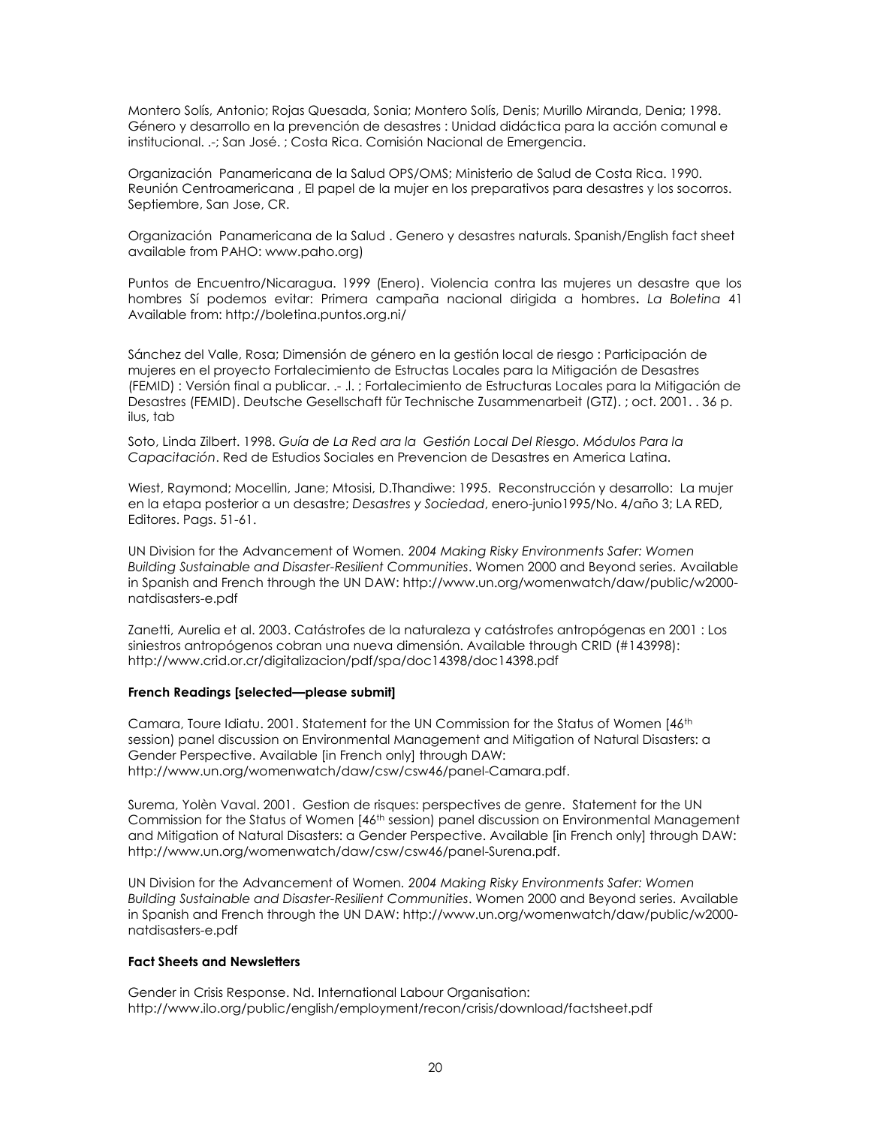Montero Solís, Antonio; Rojas Quesada, Sonia; Montero Solís, Denis; Murillo Miranda, Denia; 1998. Género y desarrollo en la prevención de desastres : Unidad didáctica para la acción comunal e institucional. .-; San José. ; Costa Rica. Comisión Nacional de Emergencia.

Organización Panamericana de la Salud OPS/OMS; Ministerio de Salud de Costa Rica. 1990. Reunión Centroamericana , El papel de la mujer en los preparativos para desastres y los socorros. Septiembre, San Jose, CR.

Organización Panamericana de la Salud . Genero y desastres naturals. Spanish/English fact sheet available from PAHO[: www.paho.org\)](http://www.paho.org/)

Puntos de Encuentro/Nicaragua. 1999 (Enero). Violencia contra las mujeres un desastre que los hombres Sí podemos evitar: Primera campaña nacional dirigida a hombres**.** *La Boletina* 41 Available from: http://boletina.puntos.org.ni/

Sánchez del Valle, Rosa; Dimensión de género en la gestión local de riesgo : Participación de mujeres en el proyecto Fortalecimiento de Estructas Locales para la Mitigación de Desastres (FEMID) : Versión final a publicar. .- .l. ; Fortalecimiento de Estructuras Locales para la Mitigación de Desastres (FEMID). Deutsche Gesellschaft für Technische Zusammenarbeit (GTZ). ; oct. 2001. . 36 p. ilus, tab

Soto, Linda Zilbert. 1998. *Guía de La Red ara la Gestión Local Del Riesgo. Módulos Para la Capacitación*. Red de Estudios Sociales en Prevencion de Desastres en America Latina.

Wiest, Raymond; Mocellin, Jane; Mtosisi, D.Thandiwe: 1995. Reconstrucción y desarrollo: La mujer en la etapa posterior a un desastre; *Desastres y Sociedad*, enero-junio1995/No. 4/año 3; LA RED, Editores. Pags. 51-61.

UN Division for the Advancement of Women*. 2004 Making Risky Environments Safer: Women Building Sustainable and Disaster-Resilient Communities*. Women 2000 and Beyond series. Available in Spanish and French through the UN DAW: [http://www.un.org/womenwatch/daw/public/w2000](http://www.un.org/womenwatch/daw/public/w2000-natdisasters-e.pdf) [natdisasters-e.pdf](http://www.un.org/womenwatch/daw/public/w2000-natdisasters-e.pdf)

Zanetti, Aurelia et al. 2003. Catástrofes de la naturaleza y catástrofes antropógenas en 2001 : Los siniestros antropógenos cobran una nueva dimensión. Available through CRID (#143998): <http://www.crid.or.cr/digitalizacion/pdf/spa/doc14398/doc14398.pdf>

## **French Readings [selected—please submit]**

Camara, Toure Idiatu. 2001. Statement for the UN Commission for the Status of Women [46<sup>th</sup> session) panel discussion on Environmental Management and Mitigation of Natural Disasters: a Gender Perspective. Available [in French only] through DAW: http://www.un.org/womenwatch/daw/csw/csw46/panel-Camara.pdf.

Surema, Yolèn Vaval. 2001. Gestion de risques: perspectives de genre. Statement for the UN Commission for the Status of Women [46<sup>th</sup> session) panel discussion on Environmental Management and Mitigation of Natural Disasters: a Gender Perspective. Available [in French only] through DAW: http://www.un.org/womenwatch/daw/csw/csw46/panel-Surena.pdf.

UN Division for the Advancement of Women*. 2004 Making Risky Environments Safer: Women Building Sustainable and Disaster-Resilient Communities*. Women 2000 and Beyond series. Available in Spanish and French through the UN DAW: [http://www.un.org/womenwatch/daw/public/w2000](http://www.un.org/womenwatch/daw/public/w2000-natdisasters-e.pdf) [natdisasters-e.pdf](http://www.un.org/womenwatch/daw/public/w2000-natdisasters-e.pdf)

## **Fact Sheets and Newsletters**

Gender in Crisis Response. Nd. International Labour Organisation: http://www.ilo.org/public/english/employment/recon/crisis/download/factsheet.pdf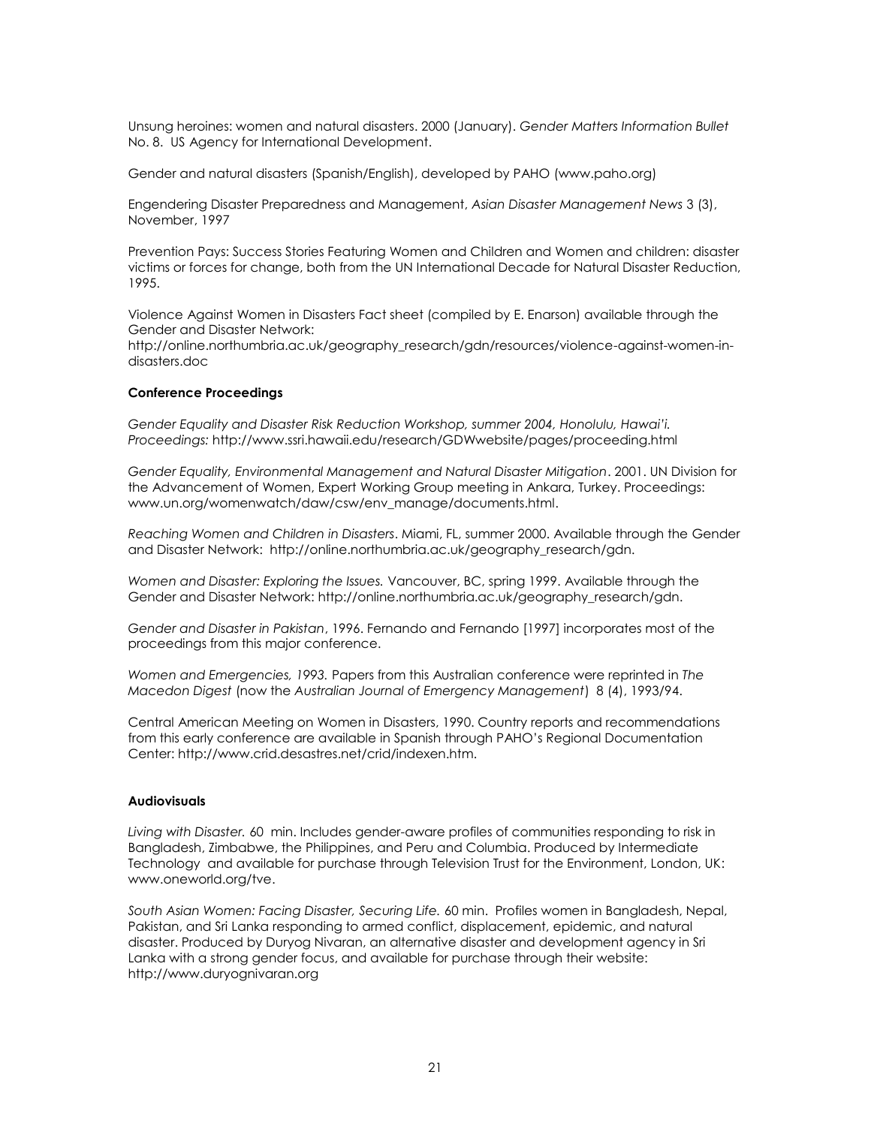Unsung heroines: women and natural disasters. 2000 (January). *Gender Matters Information Bullet*  No. 8. US Agency for International Development.

Gender and natural disasters (Spanish/English), developed by PAHO [\(www.paho.org\)](http://www.paho.org/)

Engendering Disaster Preparedness and Management, *Asian Disaster Management News* 3 (3), November, 1997

Prevention Pays: Success Stories Featuring Women and Children and Women and children: disaster victims or forces for change, both from the UN International Decade for Natural Disaster Reduction, 1995.

Violence Against Women in Disasters Fact sheet (compiled by E. Enarson) available through the Gender and Disaster Network:

http://online.northumbria.ac.uk/geography\_research/gdn/resources/violence-against-women-indisasters.doc

#### **Conference Proceedings**

*Gender Equality and Disaster Risk Reduction Workshop, summer 2004, Honolulu, Hawai'i. Proceedings:* http://www.ssri.hawaii.edu/research/GDWwebsite/pages/proceeding.html

*Gender Equality, Environmental Management and Natural Disaster Mitigation*. 2001. UN Division for the Advancement of Women, Expert Working Group meeting in Ankara, Turkey. Proceedings: [www.un.org/womenwatch/daw/csw/env\\_manage/documents.html.](http://www.un.org/womenwatch/daw/csw/env_manage/documents.html)

*Reaching Women and Children in Disasters*. Miami, FL, summer 2000. Available through the Gender and Disaster Network: http://online.northumbria.ac.uk/geography\_research/gdn.

*Women and Disaster: Exploring the Issues.* Vancouver, BC, spring 1999. Available through the Gender and Disaster Network: http://online.northumbria.ac.uk/geography\_research/gdn.

*Gender and Disaster in Pakistan*, 1996. Fernando and Fernando [1997] incorporates most of the proceedings from this major conference.

*Women and Emergencies, 1993.* Papers from this Australian conference were reprinted in *The Macedon Digest* (now the *Australian Journal of Emergency Management*) 8 (4), 1993/94.

Central American Meeting on Women in Disasters, 1990. Country reports and recommendations from this early conference are available in Spanish through PAHO's Regional Documentation Center: http://www.crid.desastres.net/crid/indexen.htm.

## **Audiovisuals**

*Living with Disaster.* 60 min. Includes gender-aware profiles of communities responding to risk in Bangladesh, Zimbabwe, the Philippines, and Peru and Columbia. Produced by Intermediate Technology and available for purchase through Television Trust for the Environment, London, UK: www.oneworld.org/tve.

*South Asian Women: Facing Disaster, Securing Life.* 60 min. Profiles women in Bangladesh, Nepal, Pakistan, and Sri Lanka responding to armed conflict, displacement, epidemic, and natural disaster. Produced by Duryog Nivaran, an alternative disaster and development agency in Sri Lanka with a strong gender focus, and available for purchase through their website: [http://www.duryognivaran.org](http://www.duryognivaran.org/)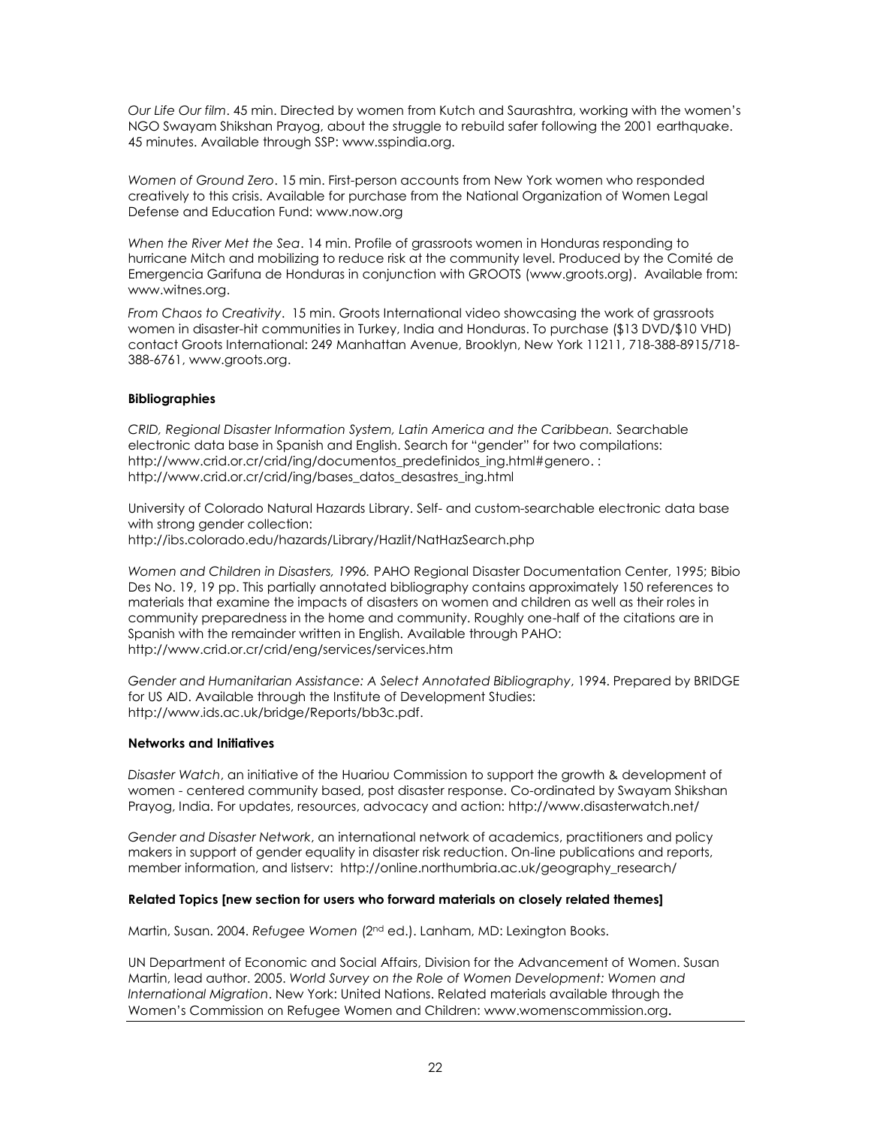*Our Life Our film*. 45 min. Directed by women from Kutch and Saurashtra, working with the women's NGO Swayam Shikshan Prayog, about the struggle to rebuild safer following the 2001 earthquake. 45 minutes. Available through SSP: [www.sspindia.org.](http://www.sspindia.org/)

*Women of Ground Zero*. 15 min. First-person accounts from New York women who responded creatively to this crisis. Available for purchase from the National Organization of Women Legal Defense and Education Fund: [www.now.org](http://www.now.org/)

*When the River Met the Sea*. 14 min. Profile of grassroots women in Honduras responding to hurricane Mitch and mobilizing to reduce risk at the community level. Produced by the Comité de Emergencia Garifuna de Honduras in conjunction with GROOTS [\(www.groots.org\)](http://www.groots.org/). Available from: [www.witnes.org.](http://www.witnes.org/)

*From Chaos to Creativity*. 15 min. Groots International video showcasing the work of grassroots women in disaster-hit communities in Turkey, India and Honduras. To purchase (\$13 DVD/\$10 VHD) contact Groots International: 249 Manhattan Avenue, Brooklyn, New York 11211, 718-388-8915/718- 388-6761, [www.groots.org.](http://www.groots.org/)

# **Bibliographies**

*CRID, Regional Disaster Information System, Latin America and the Caribbean.* Searchable electronic data base in Spanish and English. Search for "gender" for two compilations: [http://www.crid.or.cr/crid/ing/documentos\\_predefinidos\\_ing.html#genero.](http://www.crid.or.cr/crid/ing/documentos_predefinidos_ing.html#genero) : [http://www.crid.or.cr/crid/ing/bases\\_datos\\_desastres\\_ing.html](http://www.crid.or.cr/crid/ing/bases_datos_desastres_ing.html)

University of Colorado Natural Hazards Library. Self- and custom-searchable electronic data base with strong gender collection: <http://ibs.colorado.edu/hazards/Library/Hazlit/NatHazSearch.php>

*Women and Children in Disasters, 1996.* PAHO Regional Disaster Documentation Center, 1995; Bibio Des No. 19, 19 pp. This partially annotated bibliography contains approximately 150 references to materials that examine the impacts of disasters on women and children as well as their roles in community preparedness in the home and community. Roughly one-half of the citations are in Spanish with the remainder written in English. Available through PAHO: http://www.crid.or.cr/crid/eng/services/services.htm

*Gender and Humanitarian Assistance: A Select Annotated Bibliography*, 1994. Prepared by BRIDGE for US AID. Available through the Institute of Development Studies: http://www.ids.ac.uk/bridge/Reports/bb3c.pdf.

## **Networks and Initiatives**

*Disaster Watch*, an initiative of the Huariou Commission to support the growth & development of women - centered community based, post disaster response. Co-ordinated by Swayam Shikshan Prayog, India. For updates, resources, advocacy and action:<http://www.disasterwatch.net/>

*Gender and Disaster Network*, an international network of academics, practitioners and policy makers in support of gender equality in disaster risk reduction. On-line publications and reports, member information, and listserv: http://online.northumbria.ac.uk/geography\_research/

## **Related Topics [new section for users who forward materials on closely related themes]**

Martin, Susan. 2004. *Refugee Women* (2nd ed.). Lanham, MD: Lexington Books.

UN Department of Economic and Social Affairs, Division for the Advancement of Women. Susan Martin, lead author. 2005. *World Survey on the Role of Women Development: Women and International Migration*. New York: United Nations. Related materials available through the Women's Commission on Refugee Women and Children: [www.womenscommission.org](http://www.womenscommission.org/).